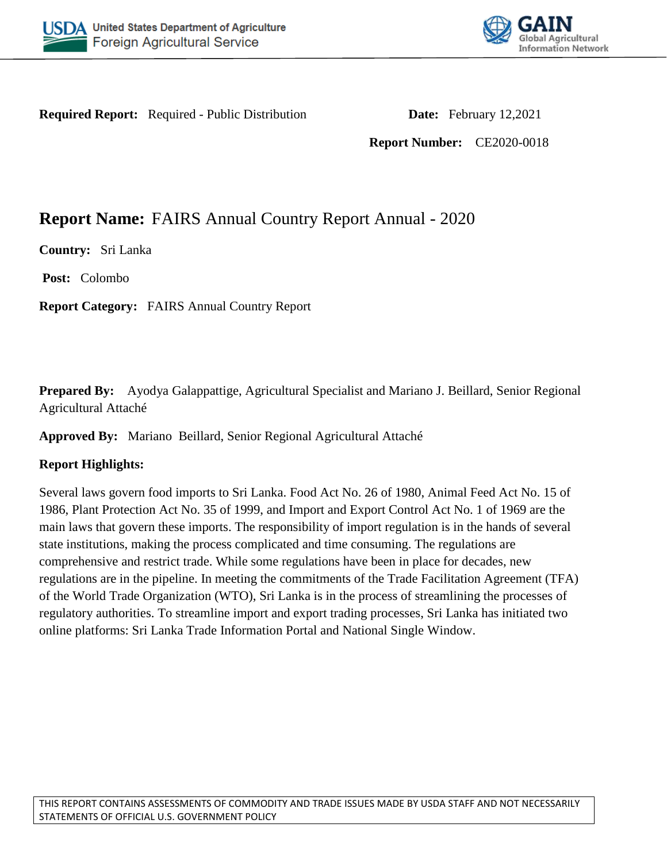



**Required Report:** Required - Public Distribution **Date:** February 12,2021

**Report Number:** CE2020-0018

# **Report Name:** FAIRS Annual Country Report Annual - 2020

**Country:** Sri Lanka

**Post:** Colombo

**Report Category:** FAIRS Annual Country Report

**Prepared By:** Ayodya Galappattige, Agricultural Specialist and Mariano J. Beillard, Senior Regional Agricultural Attaché

**Approved By:** Mariano Beillard, Senior Regional Agricultural Attaché

### **Report Highlights:**

Several laws govern food imports to Sri Lanka. Food Act No. 26 of 1980, Animal Feed Act No. 15 of 1986, Plant Protection Act No. 35 of 1999, and Import and Export Control Act No. 1 of 1969 are the main laws that govern these imports. The responsibility of import regulation is in the hands of several state institutions, making the process complicated and time consuming. The regulations are comprehensive and restrict trade. While some regulations have been in place for decades, new regulations are in the pipeline. In meeting the commitments of the Trade Facilitation Agreement (TFA) of the World Trade Organization (WTO), Sri Lanka is in the process of streamlining the processes of regulatory authorities. To streamline import and export trading processes, Sri Lanka has initiated two online platforms: Sri Lanka Trade Information Portal and National Single Window.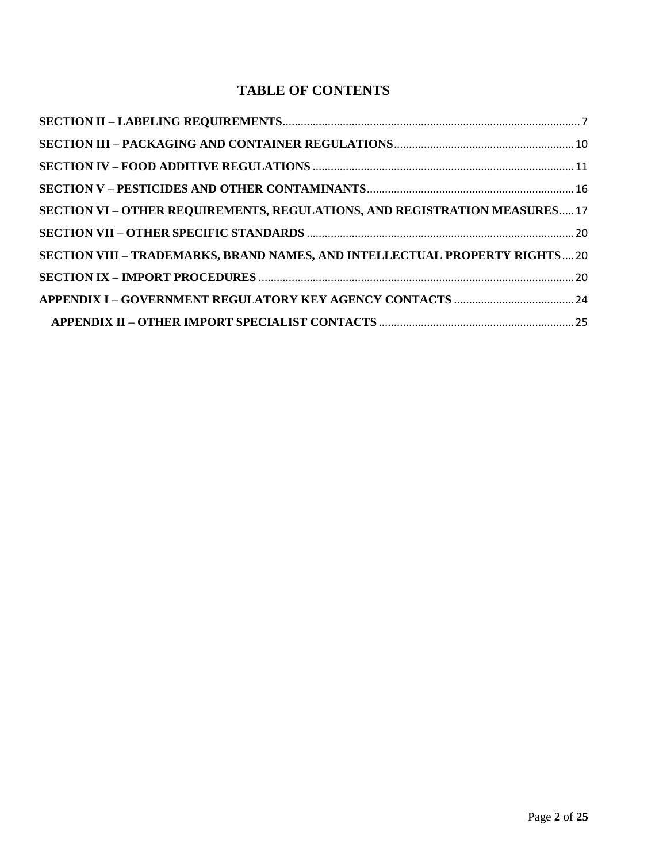## **TABLE OF CONTENTS**

| SECTION VI – OTHER REQUIREMENTS, REGULATIONS, AND REGISTRATION MEASURES 17  |  |
|-----------------------------------------------------------------------------|--|
|                                                                             |  |
| SECTION VIII - TRADEMARKS, BRAND NAMES, AND INTELLECTUAL PROPERTY RIGHTS 20 |  |
|                                                                             |  |
|                                                                             |  |
|                                                                             |  |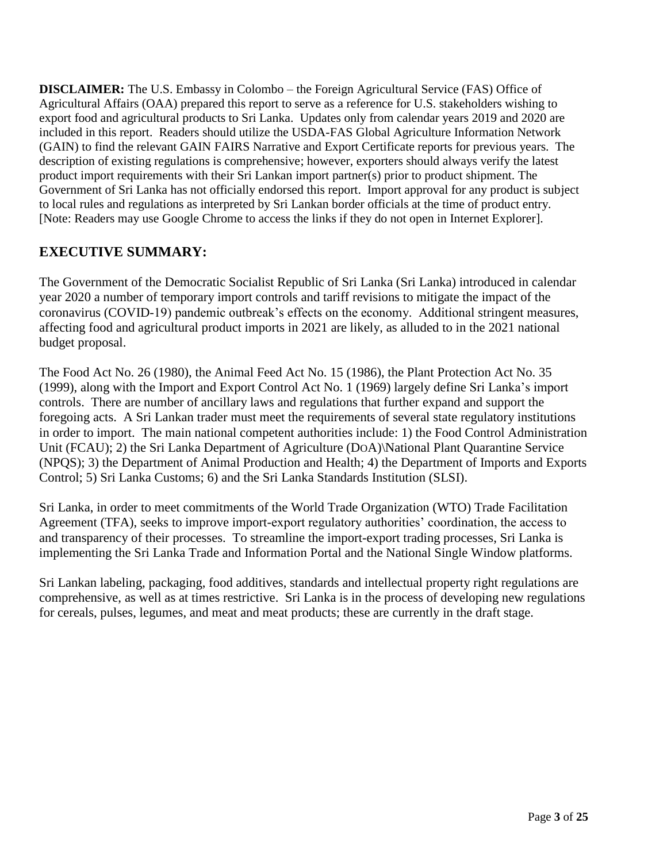**DISCLAIMER:** The U.S. Embassy in Colombo – the Foreign Agricultural Service (FAS) Office of Agricultural Affairs (OAA) prepared this report to serve as a reference for U.S. stakeholders wishing to export food and agricultural products to Sri Lanka. Updates only from calendar years 2019 and 2020 are included in this report. Readers should utilize the USDA-FAS Global Agriculture Information Network (GAIN) to find the relevant GAIN FAIRS Narrative and Export Certificate reports for previous years. The description of existing regulations is comprehensive; however, exporters should always verify the latest product import requirements with their Sri Lankan import partner(s) prior to product shipment. The Government of Sri Lanka has not officially endorsed this report. Import approval for any product is subject to local rules and regulations as interpreted by Sri Lankan border officials at the time of product entry. [Note: Readers may use Google Chrome to access the links if they do not open in Internet Explorer].

## **EXECUTIVE SUMMARY:**

The Government of the Democratic Socialist Republic of Sri Lanka (Sri Lanka) introduced in calendar year 2020 a number of temporary import controls and tariff revisions to mitigate the impact of the coronavirus (COVID-19) pandemic outbreak's effects on the economy. Additional stringent measures, affecting food and agricultural product imports in 2021 are likely, as alluded to in the 2021 national budget proposal.

The Food Act No. 26 (1980), the Animal Feed Act No. 15 (1986), the Plant Protection Act No. 35 (1999), along with the Import and Export Control Act No. 1 (1969) largely define Sri Lanka's import controls. There are number of ancillary laws and regulations that further expand and support the foregoing acts. A Sri Lankan trader must meet the requirements of several state regulatory institutions in order to import. The main national competent authorities include: 1) the Food Control Administration Unit (FCAU); 2) the Sri Lanka Department of Agriculture (DOA)\National Plant Quarantine Service (NPQS); 3) the Department of Animal Production and Health; 4) the Department of Imports and Exports Control; 5) Sri Lanka Customs; 6) and the Sri Lanka Standards Institution (SLSI).

Sri Lanka, in order to meet commitments of the World Trade Organization (WTO) Trade Facilitation Agreement (TFA), seeks to improve import-export regulatory authorities' coordination, the access to and transparency of their processes. To streamline the import-export trading processes, Sri Lanka is implementing the Sri Lanka Trade and Information Portal and the National Single Window platforms.

Sri Lankan labeling, packaging, food additives, standards and intellectual property right regulations are comprehensive, as well as at times restrictive. Sri Lanka is in the process of developing new regulations for cereals, pulses, legumes, and meat and meat products; these are currently in the draft stage.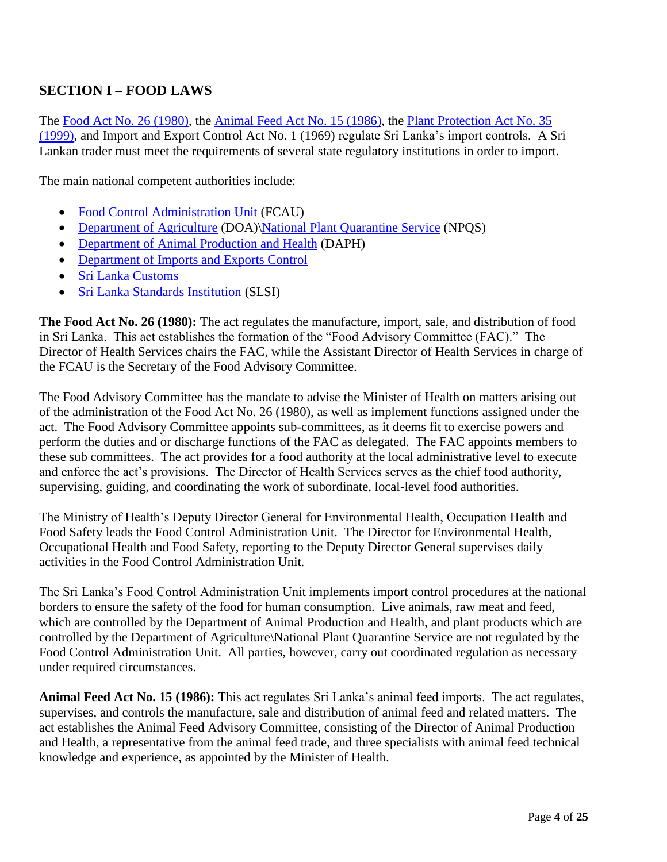## **SECTION I – FOOD LAWS**

The [Food Act No. 26 \(1980\)](http://extwprlegs1.fao.org/docs/pdf/srl14452.pdf), the [Animal Feed Act No. 15 \(1986\)](http://extwprlegs1.fao.org/docs/pdf/srl28744.pdf), the [Plant Protection Act No. 35](https://srilankatradeportal.gov.lk/kcfinder/upload/files/Legal_1512627213.pdf)  [\(1999\)](https://srilankatradeportal.gov.lk/kcfinder/upload/files/Legal_1512627213.pdf), and Import and Export Control Act No. 1 (1969) regulate Sri Lanka's import controls. A Sri Lankan trader must meet the requirements of several state regulatory institutions in order to import.

The main national competent authorities include:

- [Food Control Administration Unit](http://eohfs.health.gov.lk/food/index.php?option=com_content&view=featured&Itemid=101&lang=en) (FCAU)
- [Department of Agriculture](https://www.doa.gov.lk/index.php/en/) (DOA)[\National Plant Quarantine Service](https://www.doa.gov.lk/SCPPC/NPQS/index.php/main-services/import) (NPQS)
- [Department of Animal Production and Health](http://www.daph.gov.lk/web/index.php?lang=en) (DAPH)
- Department of Imports and Exports Control
- [Sri Lanka Customs](http://www.customs.gov.lk/)
- [Sri Lanka Standards Institution](https://www.slsi.lk/index.php?lang=en) (SLSI)

**The Food Act No. 26 (1980):** The act regulates the manufacture, import, sale, and distribution of food in Sri Lanka. This act establishes the formation of the "Food Advisory Committee (FAC)." The Director of Health Services chairs the FAC, while the Assistant Director of Health Services in charge of the FCAU is the Secretary of the Food Advisory Committee.

The Food Advisory Committee has the mandate to advise the Minister of Health on matters arising out of the administration of the Food Act No. 26 (1980), as well as implement functions assigned under the act. The Food Advisory Committee appoints sub-committees, as it deems fit to exercise powers and perform the duties and or discharge functions of the FAC as delegated. The FAC appoints members to these sub committees. The act provides for a food authority at the local administrative level to execute and enforce the act's provisions. The Director of Health Services serves as the chief food authority, supervising, guiding, and coordinating the work of subordinate, local-level food authorities.

The Ministry of Health's Deputy Director General for Environmental Health, Occupation Health and Food Safety leads the Food Control Administration Unit. The Director for Environmental Health, Occupational Health and Food Safety, reporting to the Deputy Director General supervises daily activities in the Food Control Administration Unit.

The Sri Lanka's Food Control Administration Unit implements import control procedures at the national borders to ensure the safety of the food for human consumption. Live animals, raw meat and feed, which are controlled by the Department of Animal Production and Health, and plant products which are controlled by the Department of Agriculture\National Plant Quarantine Service are not regulated by the Food Control Administration Unit. All parties, however, carry out coordinated regulation as necessary under required circumstances.

**Animal Feed Act No. 15 (1986):** This act regulates Sri Lanka's animal feed imports. The act regulates, supervises, and controls the manufacture, sale and distribution of animal feed and related matters. The act establishes the Animal Feed Advisory Committee, consisting of the Director of Animal Production and Health, a representative from the animal feed trade, and three specialists with animal feed technical knowledge and experience, as appointed by the Minister of Health.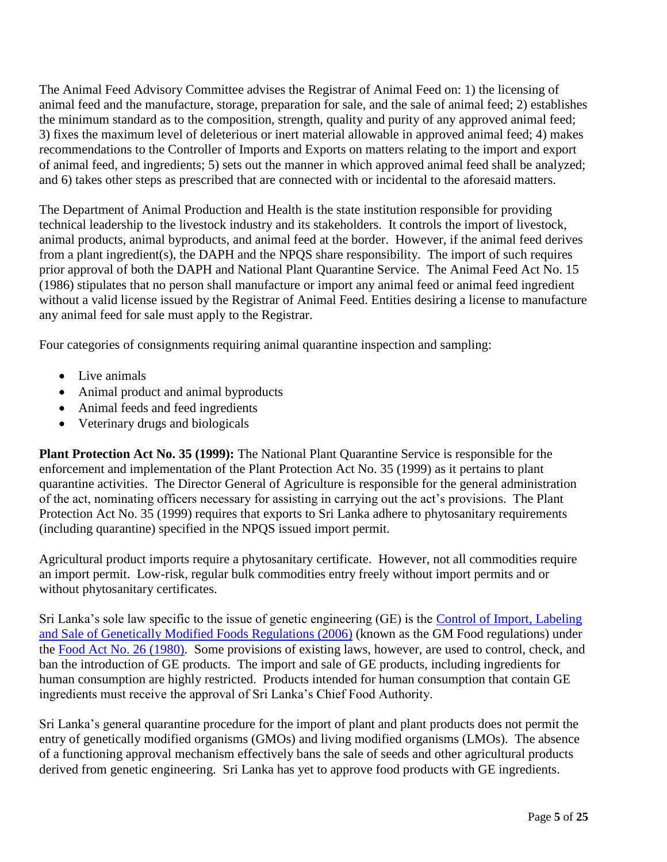The Animal Feed Advisory Committee advises the Registrar of Animal Feed on: 1) the licensing of animal feed and the manufacture, storage, preparation for sale, and the sale of animal feed; 2) establishes the minimum standard as to the composition, strength, quality and purity of any approved animal feed; 3) fixes the maximum level of deleterious or inert material allowable in approved animal feed; 4) makes recommendations to the Controller of Imports and Exports on matters relating to the import and export of animal feed, and ingredients; 5) sets out the manner in which approved animal feed shall be analyzed; and 6) takes other steps as prescribed that are connected with or incidental to the aforesaid matters.

The Department of Animal Production and Health is the state institution responsible for providing technical leadership to the livestock industry and its stakeholders. It controls the import of livestock, animal products, animal byproducts, and animal feed at the border. However, if the animal feed derives from a plant ingredient(s), the DAPH and the NPQS share responsibility. The import of such requires prior approval of both the DAPH and National Plant Quarantine Service. The Animal Feed Act No. 15 (1986) stipulates that no person shall manufacture or import any animal feed or animal feed ingredient without a valid license issued by the Registrar of Animal Feed. Entities desiring a license to manufacture any animal feed for sale must apply to the Registrar.

Four categories of consignments requiring animal quarantine inspection and sampling:

- Live animals
- Animal product and animal byproducts
- Animal feeds and feed ingredients
- Veterinary drugs and biologicals

**Plant Protection Act No. 35 (1999):** The National Plant Quarantine Service is responsible for the enforcement and implementation of the Plant Protection Act No. 35 (1999) as it pertains to plant quarantine activities. The Director General of Agriculture is responsible for the general administration of the act, nominating officers necessary for assisting in carrying out the act's provisions. The Plant Protection Act No. 35 (1999) requires that exports to Sri Lanka adhere to phytosanitary requirements (including quarantine) specified in the NPQS issued import permit.

Agricultural product imports require a phytosanitary certificate. However, not all commodities require an import permit. Low-risk, regular bulk commodities entry freely without import permits and or without phytosanitary certificates.

Sri Lanka's sole law specific to the issue of genetic engineering (GE) is the [Control of Import, Labeling](http://eohfs.health.gov.lk/food/images/pdf/regulations/food_control_of_import_labelling_and_sale_of_genetically_modified_foods_regulations_2006_en.pdf)  [and Sale of Genetically Modified Foods Regulations \(2006\)](http://eohfs.health.gov.lk/food/images/pdf/regulations/food_control_of_import_labelling_and_sale_of_genetically_modified_foods_regulations_2006_en.pdf) (known as the GM Food regulations) under the [Food Act No. 26 \(1980\)](http://extwprlegs1.fao.org/docs/pdf/srl14452.pdf). Some provisions of existing laws, however, are used to control, check, and ban the introduction of GE products. The import and sale of GE products, including ingredients for human consumption are highly restricted. Products intended for human consumption that contain GE ingredients must receive the approval of Sri Lanka's Chief Food Authority.

Sri Lanka's general quarantine procedure for the import of plant and plant products does not permit the entry of genetically modified organisms (GMOs) and living modified organisms (LMOs). The absence of a functioning approval mechanism effectively bans the sale of seeds and other agricultural products derived from genetic engineering. Sri Lanka has yet to approve food products with GE ingredients.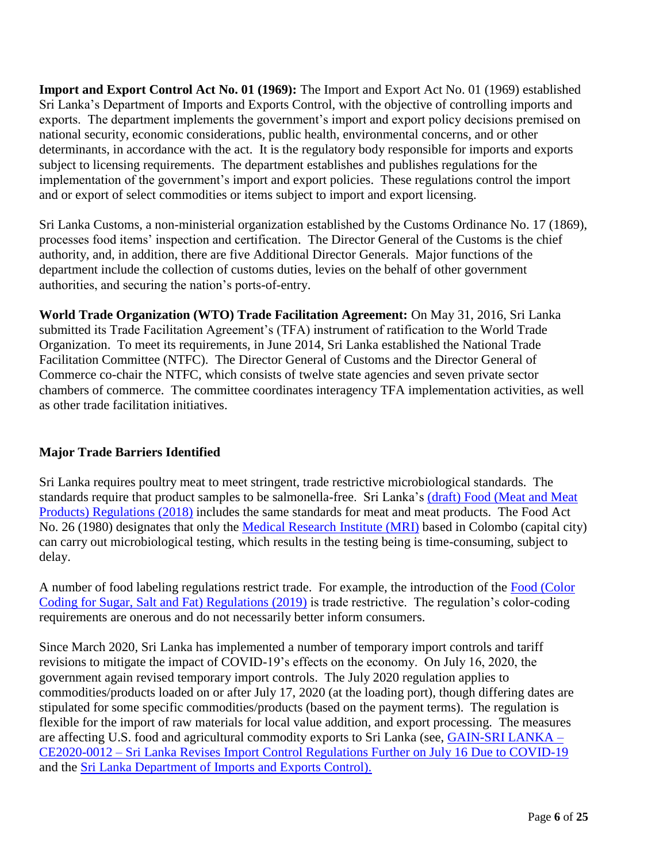**Import and Export Control Act No. 01 (1969):** The Import and Export Act No. 01 (1969) established Sri Lanka's Department of Imports and Exports Control, with the objective of controlling imports and exports. The department implements the government's import and export policy decisions premised on national security, economic considerations, public health, environmental concerns, and or other determinants, in accordance with the act. It is the regulatory body responsible for imports and exports subject to licensing requirements. The department establishes and publishes regulations for the implementation of the government's import and export policies. These regulations control the import and or export of select commodities or items subject to import and export licensing.

Sri Lanka Customs, a non-ministerial organization established by the Customs Ordinance No. 17 (1869), processes food items' inspection and certification. The Director General of the Customs is the chief authority, and, in addition, there are five Additional Director Generals. Major functions of the department include the collection of customs duties, levies on the behalf of other government authorities, and securing the nation's ports-of-entry.

**World Trade Organization (WTO) Trade Facilitation Agreement:** On May 31, 2016, Sri Lanka submitted its Trade Facilitation Agreement's (TFA) instrument of ratification to the World Trade Organization. To meet its requirements, in June 2014, Sri Lanka established the National Trade Facilitation Committee (NTFC). The Director General of Customs and the Director General of Commerce co-chair the NTFC, which consists of twelve state agencies and seven private sector chambers of commerce. The committee coordinates interagency TFA implementation activities, as well as other trade facilitation initiatives.

### **Major Trade Barriers Identified**

Sri Lanka requires poultry meat to meet stringent, trade restrictive microbiological standards. The standards require that product samples to be salmonella-free. Sri Lanka's [\(draft\) Food \(Meat and Meat](http://eohfs.health.gov.lk/food/images/pdf/Draftregulations/Food-Meat-and-Meat_Products-Regulations-2020.pdf)  [Products\) Regulations \(2018\)](http://eohfs.health.gov.lk/food/images/pdf/Draftregulations/Food-Meat-and-Meat_Products-Regulations-2020.pdf) includes the same standards for meat and meat products. The Food Act No. 26 (1980) designates that only the [Medical Research Institute \(MRI\)](http://www.mri.gov.lk/) based in Colombo (capital city) can carry out microbiological testing, which results in the testing being is time-consuming, subject to delay.

A number of food labeling regulations restrict trade. For example, the introduction of the [Food \(Color](http://eohfs.health.gov.lk/food/images/pdf/regulations/Colour-coding-solids-English.pdf)  [Coding for Sugar, Salt and Fat\) Regulations \(2019\)](http://eohfs.health.gov.lk/food/images/pdf/regulations/Colour-coding-solids-English.pdf) is trade restrictive. The regulation's color-coding requirements are onerous and do not necessarily better inform consumers.

Since March 2020, Sri Lanka has implemented a number of temporary import controls and tariff revisions to mitigate the impact of COVID-19's effects on the economy. On July 16, 2020, the government again revised temporary import controls. The July 2020 regulation applies to commodities/products loaded on or after July 17, 2020 (at the loading port), though differing dates are stipulated for some specific commodities/products (based on the payment terms). The regulation is flexible for the import of raw materials for local value addition, and export processing. The measures are affecting U.S. food and agricultural commodity exports to Sri Lanka (see, [GAIN-SRI LANKA –](https://apps.fas.usda.gov/newgainapi/api/Report/DownloadReportByFileName?fileName=Sri%20Lanka%20Revises%20Import%20Control%20Regulations%20Further%20on%20July%2016%20Due%20to%20COVID-19_Colombo_Sri%20Lanka_07-24-2020) CE2020-0012 – [Sri Lanka Revises Import Control Regulations Further on July 16](https://apps.fas.usda.gov/newgainapi/api/Report/DownloadReportByFileName?fileName=Sri%20Lanka%20Revises%20Import%20Control%20Regulations%20Further%20on%20July%2016%20Due%20to%20COVID-19_Colombo_Sri%20Lanka_07-24-2020) Due to COVID-19 and the [Sri Lanka Department of Imports and Exports Control\).](http://www.imexport.gov.lk/index.php/en/downloads/gazette.html)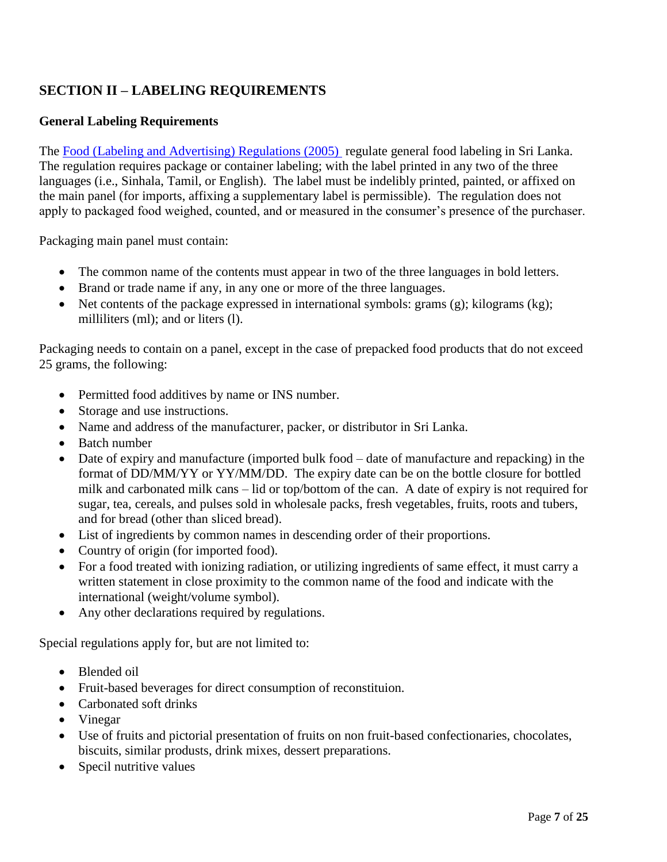## <span id="page-6-0"></span>**SECTION II – LABELING REQUIREMENTS**

### **General Labeling Requirements**

The [Food \(Labeling and Advertising\) Regulations \(2005\)](http://eohfs.health.gov.lk/food/images/pdf/regulations/food_labelling_and_advertising_regulations_2005_en.pdf) regulate general food labeling in Sri Lanka. The regulation requires package or container labeling; with the label printed in any two of the three languages (i.e., Sinhala, Tamil, or English). The label must be indelibly printed, painted, or affixed on the main panel (for imports, affixing a supplementary label is permissible). The regulation does not apply to packaged food weighed, counted, and or measured in the consumer's presence of the purchaser.

Packaging main panel must contain:

- The common name of the contents must appear in two of the three languages in bold letters.
- Brand or trade name if any, in any one or more of the three languages.
- $\bullet$  Net contents of the package expressed in international symbols: grams (g); kilograms (kg); milliliters (ml); and or liters (l).

Packaging needs to contain on a panel, except in the case of prepacked food products that do not exceed 25 grams, the following:

- Permitted food additives by name or INS number.
- Storage and use instructions.
- Name and address of the manufacturer, packer, or distributor in Sri Lanka.
- Batch number
- Date of expiry and manufacture (imported bulk food date of manufacture and repacking) in the format of DD/MM/YY or YY/MM/DD. The expiry date can be on the bottle closure for bottled milk and carbonated milk cans – lid or top/bottom of the can. A date of expiry is not required for sugar, tea, cereals, and pulses sold in wholesale packs, fresh vegetables, fruits, roots and tubers, and for bread (other than sliced bread).
- List of ingredients by common names in descending order of their proportions.
- Country of origin (for imported food).
- For a food treated with ionizing radiation, or utilizing ingredients of same effect, it must carry a written statement in close proximity to the common name of the food and indicate with the international (weight/volume symbol).
- Any other declarations required by regulations.

Special regulations apply for, but are not limited to:

- Blended oil
- Fruit-based beverages for direct consumption of reconstituion.
- Carbonated soft drinks
- Vinegar
- Use of fruits and pictorial presentation of fruits on non fruit-based confectionaries, chocolates, biscuits, similar produsts, drink mixes, dessert preparations.
- Specil nutritive values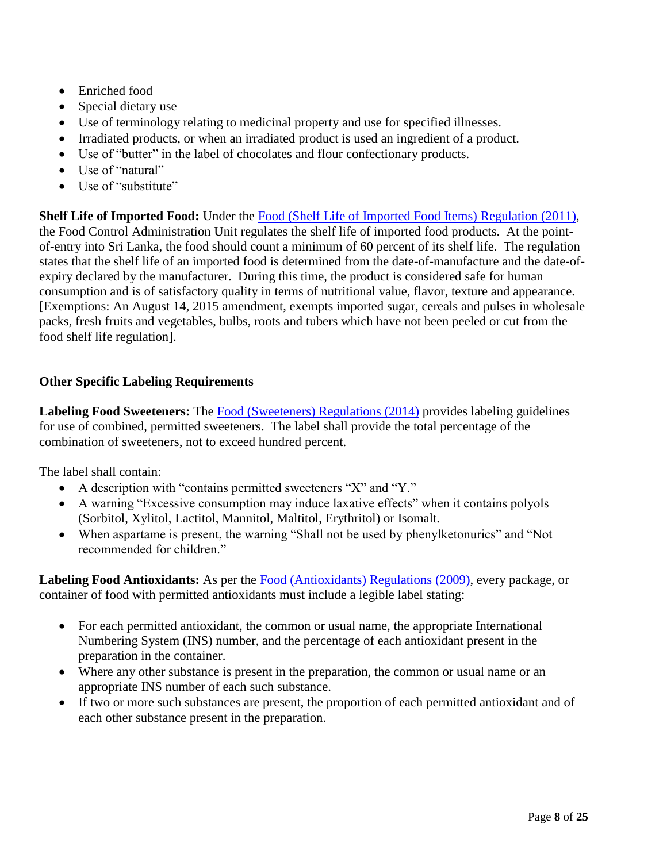- Enriched food
- Special dietary use
- Use of terminology relating to medicinal property and use for specified illnesses.
- Irradiated products, or when an irradiated product is used an ingredient of a product.
- Use of "butter" in the label of chocolates and flour confectionary products.
- Use of "natural"
- Use of "substitute"

**Shelf Life of Imported Food:** Under the [Food \(Shelf Life of Imported Food Items\) Regulation \(2011\)](http://eohfs.health.gov.lk/food/images/pdf/regulations/food_flavouring_substances_and_flavour_enhancers_regulations_2013_en.pdf), the Food Control Administration Unit regulates the shelf life of imported food products. At the pointof-entry into Sri Lanka, the food should count a minimum of 60 percent of its shelf life. The regulation states that the shelf life of an imported food is determined from the date-of-manufacture and the date-ofexpiry declared by the manufacturer. During this time, the product is considered safe for human consumption and is of satisfactory quality in terms of nutritional value, flavor, texture and appearance. [Exemptions: An August 14, 2015 amendment, exempts imported sugar, cereals and pulses in wholesale packs, fresh fruits and vegetables, bulbs, roots and tubers which have not been peeled or cut from the food shelf life regulation].

### **Other Specific Labeling Requirements**

Labeling Food Sweeteners: The [Food \(Sweeteners\) Regulations \(2014\)](http://eohfs.health.gov.lk/food/images/pdf/regulations/food_sweeteners_regulations_2014_en.pdf) provides labeling guidelines for use of combined, permitted sweeteners. The label shall provide the total percentage of the combination of sweeteners, not to exceed hundred percent.

The label shall contain:

- A description with "contains permitted sweeteners "X" and "Y."
- A warning "Excessive consumption may induce laxative effects" when it contains polyols (Sorbitol, Xylitol, Lactitol, Mannitol, Maltitol, Erythritol) or Isomalt.
- When aspartame is present, the warning "Shall not be used by phenylketonurics" and "Not recommended for children."

**Labeling Food Antioxidants:** As per the [Food \(Antioxidants\) Regulations \(2009\)](http://eohfs.health.gov.lk/food/images/pdf/regulations/food_antioxidants_regulations_2013_en.pdf), every package, or container of food with permitted antioxidants must include a legible label stating:

- For each permitted antioxidant, the common or usual name, the appropriate International Numbering System (INS) number, and the percentage of each antioxidant present in the preparation in the container.
- Where any other substance is present in the preparation, the common or usual name or an appropriate INS number of each such substance.
- If two or more such substances are present, the proportion of each permitted antioxidant and of each other substance present in the preparation.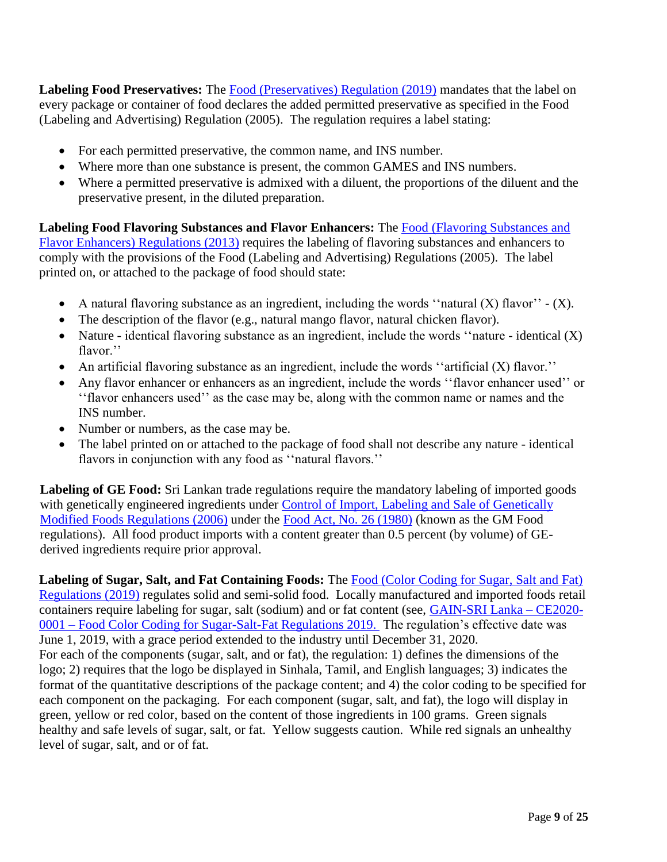Labeling Food Preservatives: The [Food \(Preservatives\) Regulation \(2019\)](http://eohfs.health.gov.lk/food/images/pdf/regulations/preservative-english.pdf) mandates that the label on every package or container of food declares the added permitted preservative as specified in the Food (Labeling and Advertising) Regulation (2005). The regulation requires a label stating:

- For each permitted preservative, the common name, and INS number.
- Where more than one substance is present, the common GAMES and INS numbers.
- Where a permitted preservative is admixed with a diluent, the proportions of the diluent and the preservative present, in the diluted preparation.

**Labeling Food Flavoring Substances and Flavor Enhancers:** The [Food \(Flavoring Substances and](http://eohfs.health.gov.lk/food/images/pdf/regulations/food_flavouring_substances_and_flavour_enhancers_regulations_2013_en.pdf)  [Flavor Enhancers\) Regulations \(2013\)](http://eohfs.health.gov.lk/food/images/pdf/regulations/food_flavouring_substances_and_flavour_enhancers_regulations_2013_en.pdf) requires the labeling of flavoring substances and enhancers to comply with the provisions of the Food (Labeling and Advertising) Regulations (2005). The label printed on, or attached to the package of food should state:

- A natural flavoring substance as an ingredient, including the words "natural  $(X)$  flavor"  $(X)$ .
- The description of the flavor (e.g., natural mango flavor, natural chicken flavor).
- Nature identical flavoring substance as an ingredient, include the words "nature identical  $(X)$ flavor.''
- An artificial flavoring substance as an ingredient, include the words "artificial (X) flavor."
- Any flavor enhancer or enhancers as an ingredient, include the words ''flavor enhancer used'' or ''flavor enhancers used'' as the case may be, along with the common name or names and the INS number.
- Number or numbers, as the case may be.
- The label printed on or attached to the package of food shall not describe any nature identical flavors in conjunction with any food as "natural flavors."

**Labeling of GE Food:** Sri Lankan trade regulations require the mandatory labeling of imported goods with genetically engineered ingredients under Control of Import, Labeling and Sale of Genetically [Modified Foods Regulations \(2006\)](http://eohfs.health.gov.lk/food/images/pdf/regulations/food_control_of_import_labelling_and_sale_of_genetically_modified_foods_regulations_2006_en.pdf) under the [Food Act, No. 26 \(1980\)](http://extwprlegs1.fao.org/docs/pdf/srl14452.pdf) (known as the GM Food regulations). All food product imports with a content greater than 0.5 percent (by volume) of GEderived ingredients require prior approval.

**Labeling of Sugar, Salt, and Fat Containing Foods:** The [Food \(Color Coding for Sugar, Salt and Fat\)](http://eohfs.health.gov.lk/food/images/pdf/regulations/Colour-coding-solids-English.pdf)  [Regulations \(2019\)](http://eohfs.health.gov.lk/food/images/pdf/regulations/Colour-coding-solids-English.pdf) regulates solid and semi-solid food. Locally manufactured and imported foods retail containers require labeling for sugar, salt (sodium) and or fat content (see, [GAIN-SRI Lanka –](https://apps.fas.usda.gov/newgainapi/api/Report/DownloadReportByFileName?fileName=Food%20Color%20Coding%20for%20Sugar-Salt-Fat%20Regulations%202019_Colombo_Sri%20Lanka_02-05-2020) CE2020- 0001 – [Food Color Coding for Sugar-Salt-Fat](https://apps.fas.usda.gov/newgainapi/api/Report/DownloadReportByFileName?fileName=Food%20Color%20Coding%20for%20Sugar-Salt-Fat%20Regulations%202019_Colombo_Sri%20Lanka_02-05-2020) Regulations 2019. The regulation's effective date was June 1, 2019, with a grace period extended to the industry until December 31, 2020. For each of the components (sugar, salt, and or fat), the regulation: 1) defines the dimensions of the logo; 2) requires that the logo be displayed in Sinhala, Tamil, and English languages; 3) indicates the format of the quantitative descriptions of the package content; and 4) the color coding to be specified for each component on the packaging. For each component (sugar, salt, and fat), the logo will display in green, yellow or red color, based on the content of those ingredients in 100 grams. Green signals healthy and safe levels of sugar, salt, or fat. Yellow suggests caution. While red signals an unhealthy level of sugar, salt, and or of fat.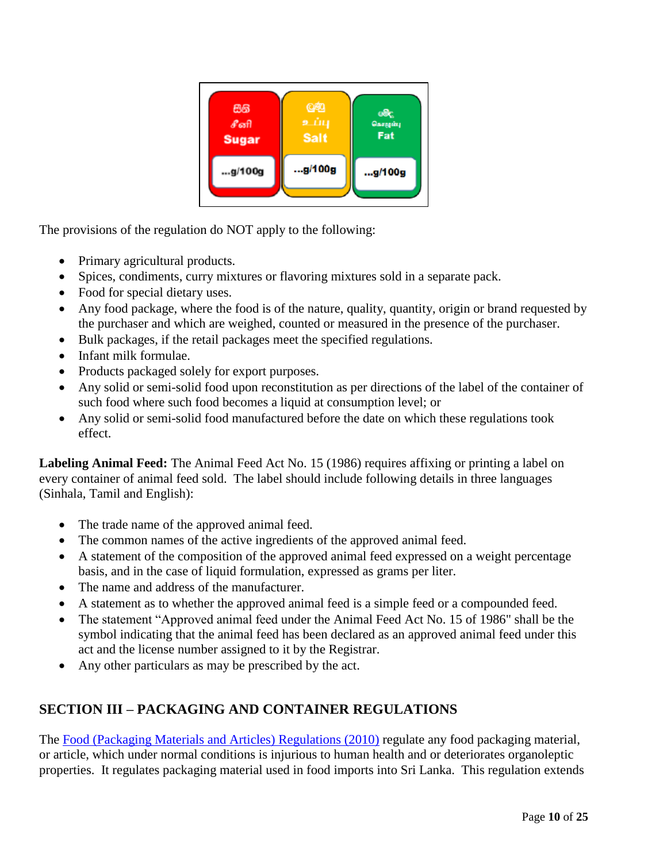| 86           | ලනු         | මේද     |
|--------------|-------------|---------|
| சீனி         | உப்பு       | Gasagun |
| <b>Sugar</b> | <b>Salt</b> | Fat     |
| g/100g       | g/100g      | g/100g  |

The provisions of the regulation do NOT apply to the following:

- Primary agricultural products.
- Spices, condiments, curry mixtures or flavoring mixtures sold in a separate pack.
- Food for special dietary uses.
- Any food package, where the food is of the nature, quality, quantity, origin or brand requested by the purchaser and which are weighed, counted or measured in the presence of the purchaser.
- Bulk packages, if the retail packages meet the specified regulations.
- Infant milk formulae.
- Products packaged solely for export purposes.
- Any solid or semi-solid food upon reconstitution as per directions of the label of the container of such food where such food becomes a liquid at consumption level; or
- Any solid or semi-solid food manufactured before the date on which these regulations took effect.

**Labeling Animal Feed:** The Animal Feed Act No. 15 (1986) requires affixing or printing a label on every container of animal feed sold. The label should include following details in three languages (Sinhala, Tamil and English):

- The trade name of the approved animal feed.
- The common names of the active ingredients of the approved animal feed.
- A statement of the composition of the approved animal feed expressed on a weight percentage basis, and in the case of liquid formulation, expressed as grams per liter.
- The name and address of the manufacturer.
- A statement as to whether the approved animal feed is a simple feed or a compounded feed.
- The statement "Approved animal feed under the Animal Feed Act No. 15 of 1986" shall be the symbol indicating that the animal feed has been declared as an approved animal feed under this act and the license number assigned to it by the Registrar.
- Any other particulars as may be prescribed by the act.

## <span id="page-9-0"></span>**SECTION III – PACKAGING AND CONTAINER REGULATIONS**

The [Food \(Packaging Materials and Articles\) Regulations \(2010\)](http://eohfs.health.gov.lk/food/images/pdf/regulations/food_packaging_materials_and_articles_regulation_2010_en.pdf) regulate any food packaging material, or article, which under normal conditions is injurious to human health and or deteriorates organoleptic properties. It regulates packaging material used in food imports into Sri Lanka. This regulation extends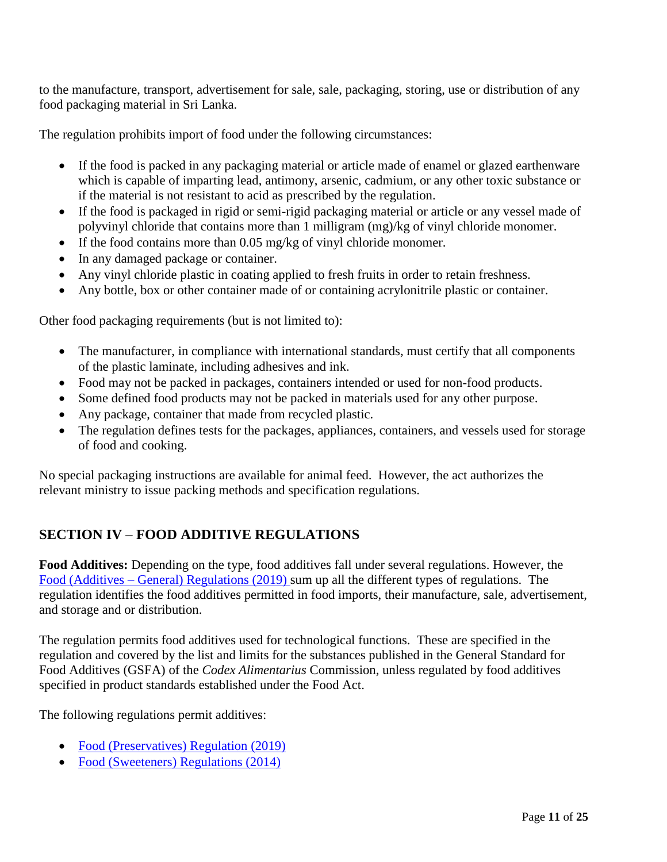to the manufacture, transport, advertisement for sale, sale, packaging, storing, use or distribution of any food packaging material in Sri Lanka.

The regulation prohibits import of food under the following circumstances:

- If the food is packed in any packaging material or article made of enamel or glazed earthenware which is capable of imparting lead, antimony, arsenic, cadmium, or any other toxic substance or if the material is not resistant to acid as prescribed by the regulation.
- If the food is packaged in rigid or semi-rigid packaging material or article or any vessel made of polyvinyl chloride that contains more than 1 milligram (mg)/kg of vinyl chloride monomer.
- If the food contains more than 0.05 mg/kg of vinyl chloride monomer.
- In any damaged package or container.
- Any vinyl chloride plastic in coating applied to fresh fruits in order to retain freshness.
- Any bottle, box or other container made of or containing acrylonitrile plastic or container.

Other food packaging requirements (but is not limited to):

- The manufacturer, in compliance with international standards, must certify that all components of the plastic laminate, including adhesives and ink.
- Food may not be packed in packages, containers intended or used for non-food products.
- Some defined food products may not be packed in materials used for any other purpose.
- Any package, container that made from recycled plastic.
- The regulation defines tests for the packages, appliances, containers, and vessels used for storage of food and cooking.

No special packaging instructions are available for animal feed. However, the act authorizes the relevant ministry to issue packing methods and specification regulations.

### <span id="page-10-0"></span>**SECTION IV – FOOD ADDITIVE REGULATIONS**

**Food Additives:** Depending on the type, food additives fall under several regulations. However, the Food (Additives – [General\) Regulations \(2019\) s](http://eohfs.health.gov.lk/food/images/pdf/regulations/additive-english.pdf)um up all the different types of regulations. The regulation identifies the food additives permitted in food imports, their manufacture, sale, advertisement, and storage and or distribution.

The regulation permits food additives used for technological functions. These are specified in the regulation and covered by the list and limits for the substances published in the General Standard for Food Additives (GSFA) of the *Codex Alimentarius* Commission, unless regulated by food additives specified in product standards established under the Food Act.

The following regulations permit additives:

- [Food \(Preservatives\) Regulation \(2019\)](http://eohfs.health.gov.lk/food/images/pdf/regulations/preservative-english.pdf)
- [Food \(Sweeteners\) Regulations \(2014\)](http://eohfs.health.gov.lk/food/images/pdf/regulations/food_sweeteners_regulations_2014_en.pdf)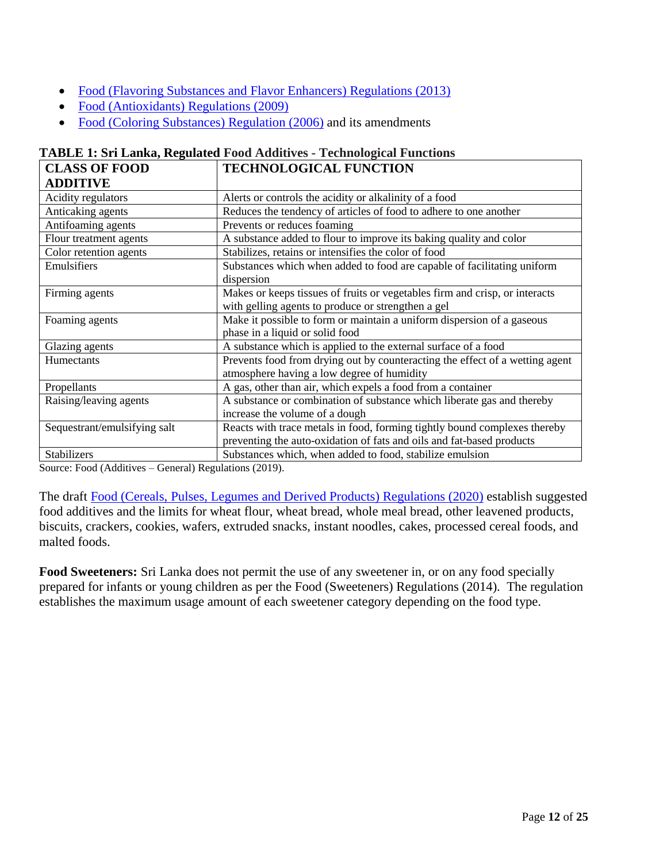- [Food \(Flavoring Substances and Flavor Enhancers\) Regulations \(2013\)](http://eohfs.health.gov.lk/food/images/pdf/regulations/food_flavouring_substances_and_flavour_enhancers_regulations_2013_en.pdf)
- [Food \(Antioxidants\) Regulations \(2009\)](http://eohfs.health.gov.lk/food/images/pdf/regulations/food_antioxidants_regulations_2013_en.pdf)
- [Food \(Coloring Substances\) Regulation \(2006\)](http://eohfs.health.gov.lk/food/images/pdf/regulations/food_colouring_substances_regulations_2006_en.pdf) and its amendments

| <b>CLASS OF FOOD</b>         | <b>TECHNOLOGICAL FUNCTION</b>                                                                                                                      |
|------------------------------|----------------------------------------------------------------------------------------------------------------------------------------------------|
| <b>ADDITIVE</b>              |                                                                                                                                                    |
| Acidity regulators           | Alerts or controls the acidity or alkalinity of a food                                                                                             |
| Anticaking agents            | Reduces the tendency of articles of food to adhere to one another                                                                                  |
| Antifoaming agents           | Prevents or reduces foaming                                                                                                                        |
| Flour treatment agents       | A substance added to flour to improve its baking quality and color                                                                                 |
| Color retention agents       | Stabilizes, retains or intensifies the color of food                                                                                               |
| Emulsifiers                  | Substances which when added to food are capable of facilitating uniform<br>dispersion                                                              |
| Firming agents               | Makes or keeps tissues of fruits or vegetables firm and crisp, or interacts<br>with gelling agents to produce or strengthen a gel                  |
| Foaming agents               | Make it possible to form or maintain a uniform dispersion of a gaseous<br>phase in a liquid or solid food                                          |
| Glazing agents               | A substance which is applied to the external surface of a food                                                                                     |
| Humectants                   | Prevents food from drying out by counteracting the effect of a wetting agent<br>atmosphere having a low degree of humidity                         |
| Propellants                  | A gas, other than air, which expels a food from a container                                                                                        |
| Raising/leaving agents       | A substance or combination of substance which liberate gas and thereby<br>increase the volume of a dough                                           |
| Sequestrant/emulsifying salt | Reacts with trace metals in food, forming tightly bound complexes thereby<br>preventing the auto-oxidation of fats and oils and fat-based products |
| Stabilizers                  | Substances which, when added to food, stabilize emulsion                                                                                           |

### **TABLE 1: Sri Lanka, Regulated Food Additives - Technological Functions**

Source: Food (Additives – General) Regulations (2019).

The draft [Food \(Cereals, Pulses, Legumes and Derived Products\) Regulations \(2020\)](http://eohfs.health.gov.lk/food/images/pdf/Draftregulations/Food-Cereal-Pulses-Legumes-Regulations--2019.08.15-lkn-41.pdf) establish suggested food additives and the limits for wheat flour, wheat bread, whole meal bread, other leavened products, biscuits, crackers, cookies, wafers, extruded snacks, instant noodles, cakes, processed cereal foods, and malted foods.

**Food Sweeteners:** Sri Lanka does not permit the use of any sweetener in, or on any food specially prepared for infants or young children as per the Food (Sweeteners) Regulations (2014). The regulation establishes the maximum usage amount of each sweetener category depending on the food type.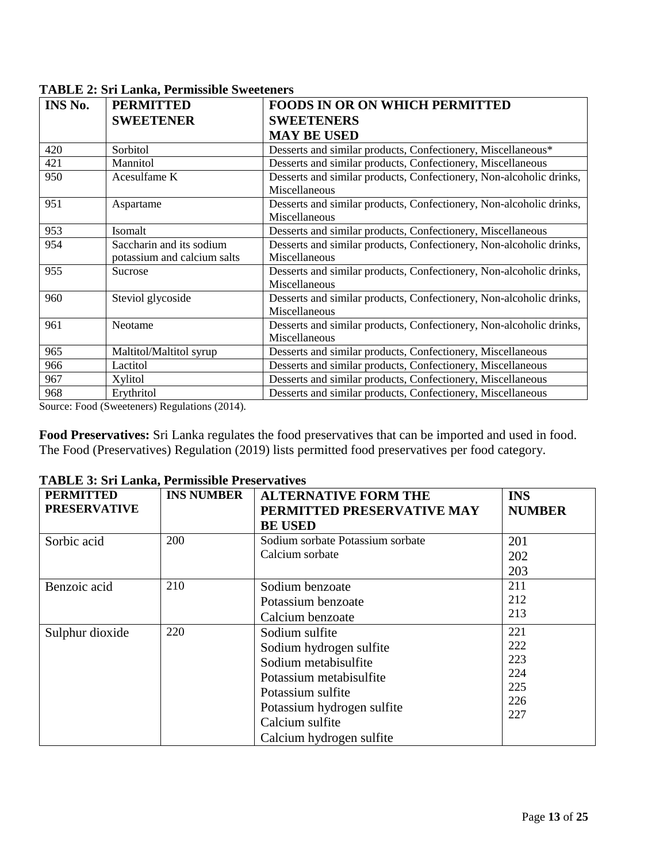| INS No. | <b>PERMITTED</b>            | <b>FOODS IN OR ON WHICH PERMITTED</b>                               |
|---------|-----------------------------|---------------------------------------------------------------------|
|         | <b>SWEETENER</b>            | <b>SWEETENERS</b>                                                   |
|         |                             | <b>MAY BE USED</b>                                                  |
| 420     | Sorbitol                    | Desserts and similar products, Confectionery, Miscellaneous*        |
| 421     | Mannitol                    | Desserts and similar products, Confectionery, Miscellaneous         |
| 950     | Acesulfame K                | Desserts and similar products, Confectionery, Non-alcoholic drinks, |
|         |                             | Miscellaneous                                                       |
| 951     | Aspartame                   | Desserts and similar products, Confectionery, Non-alcoholic drinks, |
|         |                             | Miscellaneous                                                       |
| 953     | Isomalt                     | Desserts and similar products, Confectionery, Miscellaneous         |
| 954     | Saccharin and its sodium    | Desserts and similar products, Confectionery, Non-alcoholic drinks, |
|         | potassium and calcium salts | Miscellaneous                                                       |
| 955     | Sucrose                     | Desserts and similar products, Confectionery, Non-alcoholic drinks, |
|         |                             | Miscellaneous                                                       |
| 960     | Steviol glycoside           | Desserts and similar products, Confectionery, Non-alcoholic drinks, |
|         |                             | Miscellaneous                                                       |
| 961     | Neotame                     | Desserts and similar products, Confectionery, Non-alcoholic drinks, |
|         |                             | Miscellaneous                                                       |
| 965     | Maltitol/Maltitol syrup     | Desserts and similar products, Confectionery, Miscellaneous         |
| 966     | Lactitol                    | Desserts and similar products, Confectionery, Miscellaneous         |
| 967     | Xylitol                     | Desserts and similar products, Confectionery, Miscellaneous         |
| 968     | Erythritol                  | Desserts and similar products, Confectionery, Miscellaneous         |

**TABLE 2: Sri Lanka, Permissible Sweeteners**

Source: Food (Sweeteners) Regulations (2014).

**Food Preservatives:** Sri Lanka regulates the food preservatives that can be imported and used in food. The Food (Preservatives) Regulation (2019) lists permitted food preservatives per food category.

| <b>PERMITTED</b><br><b>PRESERVATIVE</b> | <b>INS NUMBER</b> | <b>ALTERNATIVE FORM THE</b><br>PERMITTED PRESERVATIVE MAY<br><b>BE USED</b>                                                                                                                    | <b>INS</b><br><b>NUMBER</b>                   |
|-----------------------------------------|-------------------|------------------------------------------------------------------------------------------------------------------------------------------------------------------------------------------------|-----------------------------------------------|
| Sorbic acid                             | 200               | Sodium sorbate Potassium sorbate<br>Calcium sorbate                                                                                                                                            | 201<br>202<br>203                             |
| Benzoic acid                            | 210               | Sodium benzoate<br>Potassium benzoate<br>Calcium benzoate                                                                                                                                      | 211<br>212<br>213                             |
| Sulphur dioxide                         | 220               | Sodium sulfite<br>Sodium hydrogen sulfite<br>Sodium metabisulfite<br>Potassium metabisulfite<br>Potassium sulfite<br>Potassium hydrogen sulfite<br>Calcium sulfite<br>Calcium hydrogen sulfite | 221<br>222<br>223<br>224<br>225<br>226<br>227 |

**TABLE 3: Sri Lanka, Permissible Preservatives**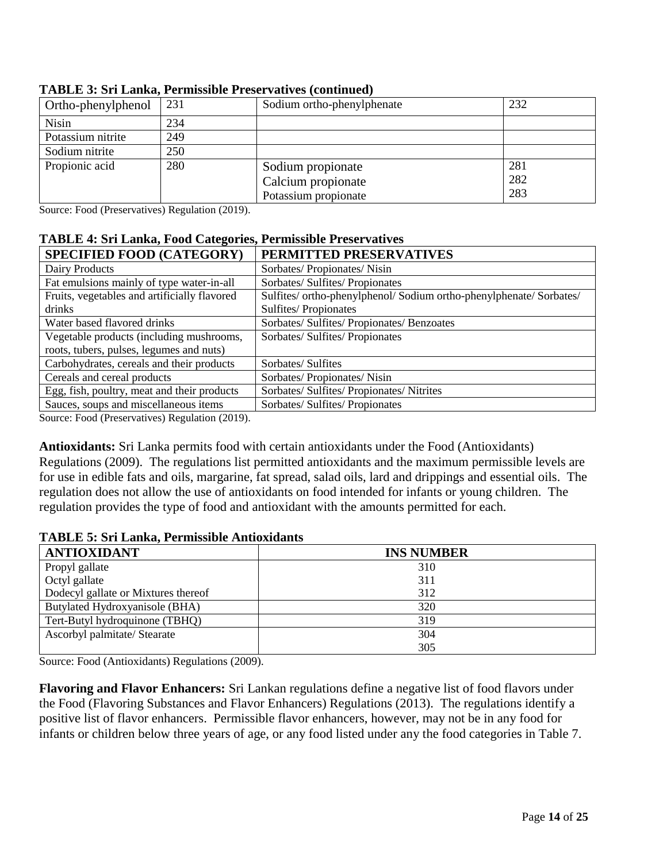| Ortho-phenylphenol | 231 | Sodium ortho-phenylphenate | 232 |
|--------------------|-----|----------------------------|-----|
| <b>Nisin</b>       | 234 |                            |     |
| Potassium nitrite  | 249 |                            |     |
| Sodium nitrite     | 250 |                            |     |
| Propionic acid     | 280 | Sodium propionate          | 281 |
|                    |     | Calcium propionate         | 282 |
|                    |     | Potassium propionate       | 283 |

#### **TABLE 3: Sri Lanka, Permissible Preservatives (continued)**

Source: Food (Preservatives) Regulation (2019).

#### **TABLE 4: Sri Lanka, Food Categories, Permissible Preservatives**

| <b>SPECIFIED FOOD (CATEGORY)</b>             | PERMITTED PRESERVATIVES                                             |
|----------------------------------------------|---------------------------------------------------------------------|
| Dairy Products                               | Sorbates/Propionates/Nisin                                          |
| Fat emulsions mainly of type water-in-all    | Sorbates/ Sulfites/ Propionates                                     |
| Fruits, vegetables and artificially flavored | Sulfites/ ortho-phenylphenol/ Sodium ortho-phenylphenate/ Sorbates/ |
| drinks                                       | Sulfites/Propionates                                                |
| Water based flavored drinks                  | Sorbates/ Sulfites/ Propionates/ Benzoates                          |
| Vegetable products (including mushrooms,     | Sorbates/ Sulfites/ Propionates                                     |
| roots, tubers, pulses, legumes and nuts)     |                                                                     |
| Carbohydrates, cereals and their products    | Sorbates/Sulfites                                                   |
| Cereals and cereal products                  | Sorbates/ Propionates/ Nisin                                        |
| Egg, fish, poultry, meat and their products  | Sorbates/ Sulfites/ Propionates/ Nitrites                           |
| Sauces, soups and miscellaneous items        | Sorbates/ Sulfites/ Propionates                                     |

Source: Food (Preservatives) Regulation (2019).

**Antioxidants:** Sri Lanka permits food with certain antioxidants under the Food (Antioxidants) Regulations (2009). The regulations list permitted antioxidants and the maximum permissible levels are for use in edible fats and oils, margarine, fat spread, salad oils, lard and drippings and essential oils. The regulation does not allow the use of antioxidants on food intended for infants or young children. The regulation provides the type of food and antioxidant with the amounts permitted for each.

#### **TABLE 5: Sri Lanka, Permissible Antioxidants**

| <b>ANTIOXIDANT</b>                  | <b>INS NUMBER</b> |
|-------------------------------------|-------------------|
| Propyl gallate                      | 310               |
| Octyl gallate                       | 311               |
| Dodecyl gallate or Mixtures thereof | 312               |
| Butylated Hydroxyanisole (BHA)      | 320               |
| Tert-Butyl hydroquinone (TBHQ)      | 319               |
| Ascorbyl palmitate/ Stearate        | 304               |
|                                     | 305               |

Source: Food (Antioxidants) Regulations (2009).

**Flavoring and Flavor Enhancers:** Sri Lankan regulations define a negative list of food flavors under the Food (Flavoring Substances and Flavor Enhancers) Regulations (2013). The regulations identify a positive list of flavor enhancers. Permissible flavor enhancers, however, may not be in any food for infants or children below three years of age, or any food listed under any the food categories in Table 7.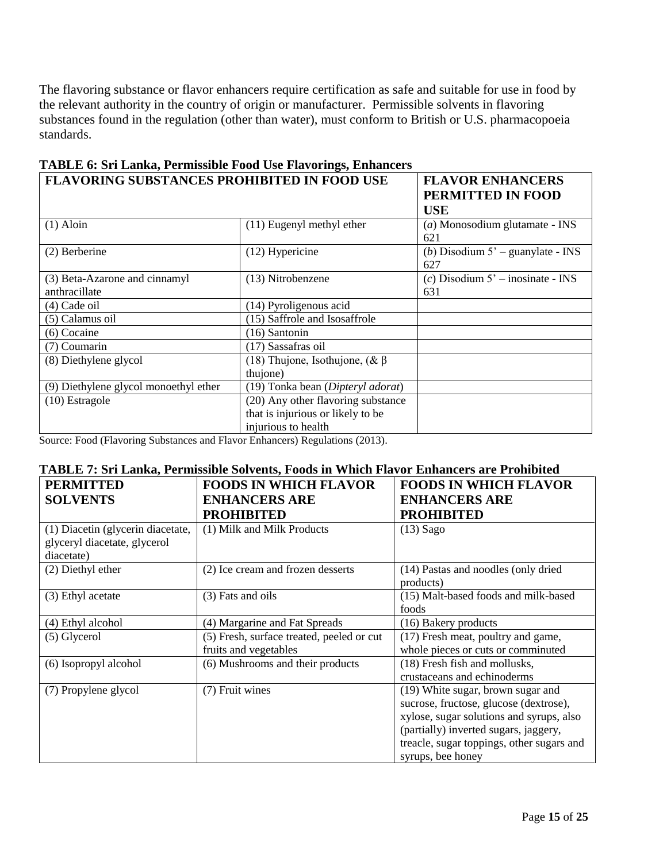The flavoring substance or flavor enhancers require certification as safe and suitable for use in food by the relevant authority in the country of origin or manufacturer. Permissible solvents in flavoring substances found in the regulation (other than water), must conform to British or U.S. pharmacopoeia standards.

| <b>FLAVORING SUBSTANCES PROHIBITED IN FOOD USE</b> |                                        | <b>FLAVOR ENHANCERS</b>             |
|----------------------------------------------------|----------------------------------------|-------------------------------------|
|                                                    |                                        | PERMITTED IN FOOD                   |
|                                                    |                                        | <b>USE</b>                          |
| $(1)$ Aloin                                        | (11) Eugenyl methyl ether              | $(a)$ Monosodium glutamate - INS    |
|                                                    |                                        | 621                                 |
| $(2)$ Berberine                                    | (12) Hypericine                        | (b) Disodium $5'$ – guanylate - INS |
|                                                    |                                        | 627                                 |
| (3) Beta-Azarone and cinnamyl                      | (13) Nitrobenzene                      | $(c)$ Disodium 5' – inosinate - INS |
| anthracillate                                      |                                        | 631                                 |
| (4) Cade oil                                       | (14) Pyroligenous acid                 |                                     |
| (5) Calamus oil                                    | (15) Saffrole and Isosaffrole          |                                     |
| (6) Cocaine                                        | (16) Santonin                          |                                     |
| (7) Coumarin                                       | (17) Sassafras oil                     |                                     |
| (8) Diethylene glycol                              | (18) Thujone, Isothujone, $(\& \beta)$ |                                     |
|                                                    | thujone)                               |                                     |
| (9) Diethylene glycol monoethyl ether              | (19) Tonka bean (Dipteryl adorat)      |                                     |
| $(10)$ Estragole                                   | (20) Any other flavoring substance     |                                     |
|                                                    | that is injurious or likely to be      |                                     |
|                                                    | injurious to health                    |                                     |

### **TABLE 6: Sri Lanka, Permissible Food Use Flavorings, Enhancers**

Source: Food (Flavoring Substances and Flavor Enhancers) Regulations (2013).

### **TABLE 7: Sri Lanka, Permissible Solvents, Foods in Which Flavor Enhancers are Prohibited**

| <b>PERMITTED</b>                                                                | <b>FOODS IN WHICH FLAVOR</b>                                       | <b>FOODS IN WHICH FLAVOR</b>                                                                                                                                                                                                       |
|---------------------------------------------------------------------------------|--------------------------------------------------------------------|------------------------------------------------------------------------------------------------------------------------------------------------------------------------------------------------------------------------------------|
| <b>SOLVENTS</b>                                                                 | <b>ENHANCERS ARE</b>                                               | <b>ENHANCERS ARE</b>                                                                                                                                                                                                               |
|                                                                                 | <b>PROHIBITED</b>                                                  | <b>PROHIBITED</b>                                                                                                                                                                                                                  |
| (1) Diacetin (glycerin diacetate,<br>glyceryl diacetate, glycerol<br>diacetate) | (1) Milk and Milk Products                                         | $(13)$ Sago                                                                                                                                                                                                                        |
| (2) Diethyl ether                                                               | (2) Ice cream and frozen desserts                                  | (14) Pastas and noodles (only dried<br>products)                                                                                                                                                                                   |
| (3) Ethyl acetate                                                               | (3) Fats and oils                                                  | (15) Malt-based foods and milk-based<br>foods                                                                                                                                                                                      |
| (4) Ethyl alcohol                                                               | (4) Margarine and Fat Spreads                                      | (16) Bakery products                                                                                                                                                                                                               |
| (5) Glycerol                                                                    | (5) Fresh, surface treated, peeled or cut<br>fruits and vegetables | (17) Fresh meat, poultry and game,<br>whole pieces or cuts or comminuted                                                                                                                                                           |
| (6) Isopropyl alcohol                                                           | (6) Mushrooms and their products                                   | (18) Fresh fish and mollusks,<br>crustaceans and echinoderms                                                                                                                                                                       |
| (7) Propylene glycol                                                            | (7) Fruit wines                                                    | (19) White sugar, brown sugar and<br>sucrose, fructose, glucose (dextrose),<br>xylose, sugar solutions and syrups, also<br>(partially) inverted sugars, jaggery,<br>treacle, sugar toppings, other sugars and<br>syrups, bee honey |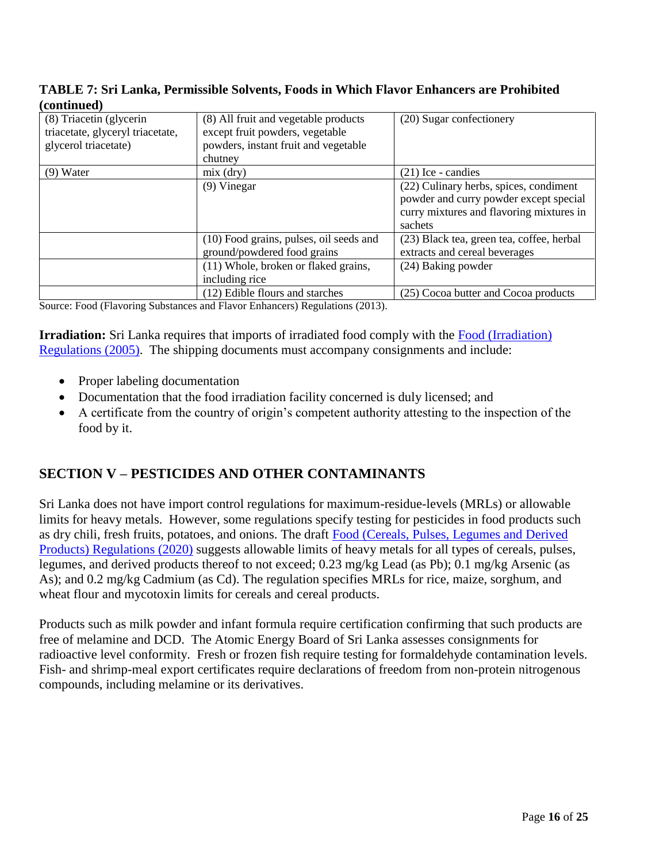#### **TABLE 7: Sri Lanka, Permissible Solvents, Foods in Which Flavor Enhancers are Prohibited (continued)**

| (8) Triacetin (glycerin<br>triacetate, glyceryl triacetate,<br>glycerol triacetate) | (8) All fruit and vegetable products<br>except fruit powders, vegetable<br>powders, instant fruit and vegetable<br>chutney | (20) Sugar confectionery                                                                                                                |
|-------------------------------------------------------------------------------------|----------------------------------------------------------------------------------------------------------------------------|-----------------------------------------------------------------------------------------------------------------------------------------|
| $(9)$ Water                                                                         | $mix$ (dry)                                                                                                                | $(21)$ Ice - candies                                                                                                                    |
|                                                                                     | $(9)$ Vinegar                                                                                                              | (22) Culinary herbs, spices, condiment<br>powder and curry powder except special<br>curry mixtures and flavoring mixtures in<br>sachets |
|                                                                                     | (10) Food grains, pulses, oil seeds and<br>ground/powdered food grains                                                     | (23) Black tea, green tea, coffee, herbal<br>extracts and cereal beverages                                                              |
|                                                                                     | (11) Whole, broken or flaked grains,<br>including rice                                                                     | (24) Baking powder                                                                                                                      |
|                                                                                     | (12) Edible flours and starches                                                                                            | (25) Cocoa butter and Cocoa products                                                                                                    |

Source: Food (Flavoring Substances and Flavor Enhancers) Regulations (2013).

**Irradiation:** Sri Lanka requires that imports of irradiated food comply with the Food (Irradiation) [Regulations \(2005\)](http://eohfs.health.gov.lk/food/images/pdf/regulations/food_irradiation_rregulations_2005_en.pdf). The shipping documents must accompany consignments and include:

- Proper labeling documentation
- Documentation that the food irradiation facility concerned is duly licensed; and
- A certificate from the country of origin's competent authority attesting to the inspection of the food by it.

### <span id="page-15-0"></span>**SECTION V – PESTICIDES AND OTHER CONTAMINANTS**

Sri Lanka does not have import control regulations for maximum-residue-levels (MRLs) or allowable limits for heavy metals. However, some regulations specify testing for pesticides in food products such as dry chili, fresh fruits, potatoes, and onions. The draft [Food \(Cereals, Pulses, Legumes and Derived](http://eohfs.health.gov.lk/food/images/pdf/Draftregulations/Food-Cereal-Pulses-Legumes-Regulations--2019.08.15-lkn-41.pdf)  [Products\) Regulations \(2020\)](http://eohfs.health.gov.lk/food/images/pdf/Draftregulations/Food-Cereal-Pulses-Legumes-Regulations--2019.08.15-lkn-41.pdf) suggests allowable limits of heavy metals for all types of cereals, pulses, legumes, and derived products thereof to not exceed; 0.23 mg/kg Lead (as Pb); 0.1 mg/kg Arsenic (as As); and 0.2 mg/kg Cadmium (as Cd). The regulation specifies MRLs for rice, maize, sorghum, and wheat flour and mycotoxin limits for cereals and cereal products.

Products such as milk powder and infant formula require certification confirming that such products are free of melamine and DCD. The Atomic Energy Board of Sri Lanka assesses consignments for radioactive level conformity. Fresh or frozen fish require testing for formaldehyde contamination levels. Fish- and shrimp-meal export certificates require declarations of freedom from non-protein nitrogenous compounds, including melamine or its derivatives.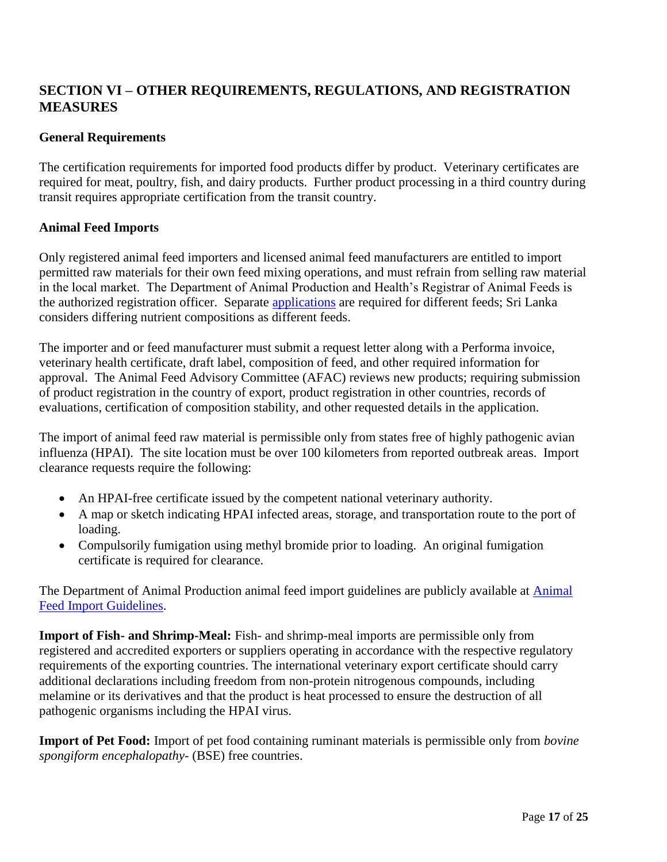## <span id="page-16-0"></span>**SECTION VI – OTHER REQUIREMENTS, REGULATIONS, AND REGISTRATION MEASURES**

### **General Requirements**

The certification requirements for imported food products differ by product. Veterinary certificates are required for meat, poultry, fish, and dairy products. Further product processing in a third country during transit requires appropriate certification from the transit country.

#### **Animal Feed Imports**

Only registered animal feed importers and licensed animal feed manufacturers are entitled to import permitted raw materials for their own feed mixing operations, and must refrain from selling raw material in the local market. The Department of Animal Production and Health's Registrar of Animal Feeds is the authorized registration officer. Separate [applications](http://www.daph.gov.lk/web/index.php?option=com_content&view=article&id=82&Itemid=235&lang=en) are required for different feeds; Sri Lanka considers differing nutrient compositions as different feeds.

The importer and or feed manufacturer must submit a request letter along with a Performa invoice, veterinary health certificate, draft label, composition of feed, and other required information for approval. The Animal Feed Advisory Committee (AFAC) reviews new products; requiring submission of product registration in the country of export, product registration in other countries, records of evaluations, certification of composition stability, and other requested details in the application.

The import of animal feed raw material is permissible only from states free of highly pathogenic avian influenza (HPAI). The site location must be over 100 kilometers from reported outbreak areas. Import clearance requests require the following:

- An HPAI-free certificate issued by the competent national veterinary authority.
- A map or sketch indicating HPAI infected areas, storage, and transportation route to the port of loading.
- Compulsorily fumigation using methyl bromide prior to loading. An original fumigation certificate is required for clearance.

The Department of [Animal](http://www.daph.gov.lk/web/images/content_image/vra/2020/feed/newreg/importer/AnimalFeedImporterGuidelinesforregistration.pdf) Production animal feed import guidelines are publicly available at Animal [Feed Import Guidelines.](http://www.daph.gov.lk/web/images/content_image/vra/2020/feed/newreg/importer/AnimalFeedImporterGuidelinesforregistration.pdf)

**Import of Fish- and Shrimp-Meal:** Fish- and shrimp-meal imports are permissible only from registered and accredited exporters or suppliers operating in accordance with the respective regulatory requirements of the exporting countries. The international veterinary export certificate should carry additional declarations including freedom from non-protein nitrogenous compounds, including melamine or its derivatives and that the product is heat processed to ensure the destruction of all pathogenic organisms including the HPAI virus.

**Import of Pet Food:** Import of pet food containing ruminant materials is permissible only from *bovine spongiform encephalopathy*- (BSE) free countries.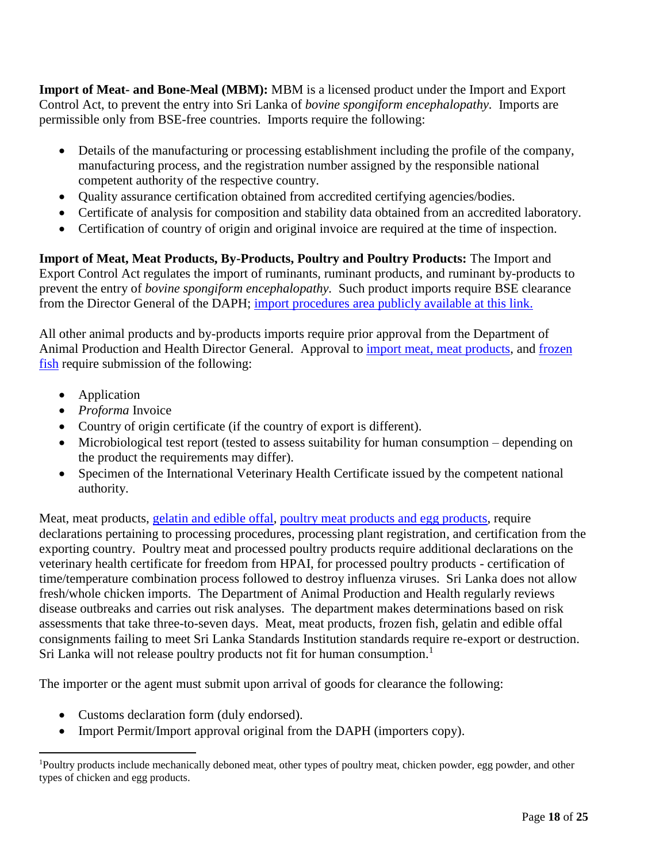**Import of Meat- and Bone-Meal (MBM):** MBM is a licensed product under the Import and Export Control Act, to prevent the entry into Sri Lanka of *bovine spongiform encephalopathy.* Imports are permissible only from BSE-free countries. Imports require the following:

- Details of the manufacturing or processing establishment including the profile of the company, manufacturing process, and the registration number assigned by the responsible national competent authority of the respective country.
- Quality assurance certification obtained from accredited certifying agencies/bodies.
- Certificate of analysis for composition and stability data obtained from an accredited laboratory.
- Certification of country of origin and original invoice are required at the time of inspection.

**Import of Meat, Meat Products, By-Products, Poultry and Poultry Products:** The Import and Export Control Act regulates the import of ruminants, ruminant products, and ruminant by-products to prevent the entry of *bovine spongiform encephalopathy.* Such product imports require BSE clearance from the Director General of the DAPH; [import procedures area publicly available at this link.](http://www.daph.gov.lk/web/index.php?option=com_content&view=article&id=24&Itemid=126&lang=en)

All other animal products and by-products imports require prior approval from the Department of Animal Production and Health Director General. Approval to [import meat, meat products,](http://www.daph.gov.lk/web/images/content_image/vra/2018/Meat_and_Meat_Item_Application.pdf) and [frozen](http://www.daph.gov.lk/web/images/content_image/vra/2018/Frozen_Fish_Aapplication.pdf)  [fish](http://www.daph.gov.lk/web/images/content_image/vra/2018/Frozen_Fish_Aapplication.pdf) require submission of the following:

• Application

 $\overline{a}$ 

- *Proforma* Invoice
- Country of origin certificate (if the country of export is different).
- Microbiological test report (tested to assess suitability for human consumption depending on the product the requirements may differ).
- Specimen of the International Veterinary Health Certificate issued by the competent national authority.

Meat, meat products, [gelatin and edible offal,](http://www.daph.gov.lk/web/images/content_image/vra/2018/BSE_Application.pdf) [poultry meat products and egg products,](http://www.daph.gov.lk/web/images/content_image/vra/import_export/Poultrymeat_and_egg_products.pdf) require declarations pertaining to processing procedures, processing plant registration, and certification from the exporting country. Poultry meat and processed poultry products require additional declarations on the veterinary health certificate for freedom from HPAI, for processed poultry products - certification of time/temperature combination process followed to destroy influenza viruses. Sri Lanka does not allow fresh/whole chicken imports. The Department of Animal Production and Health regularly reviews disease outbreaks and carries out risk analyses. The department makes determinations based on risk assessments that take three-to-seven days. Meat, meat products, frozen fish, gelatin and edible offal consignments failing to meet Sri Lanka Standards Institution standards require re-export or destruction. Sri Lanka will not release poultry products not fit for human consumption.<sup>1</sup>

The importer or the agent must submit upon arrival of goods for clearance the following:

- Customs declaration form (duly endorsed).
- Import Permit/Import approval original from the DAPH (importers copy).

<sup>1</sup>Poultry products include mechanically deboned meat, other types of poultry meat, chicken powder, egg powder, and other types of chicken and egg products.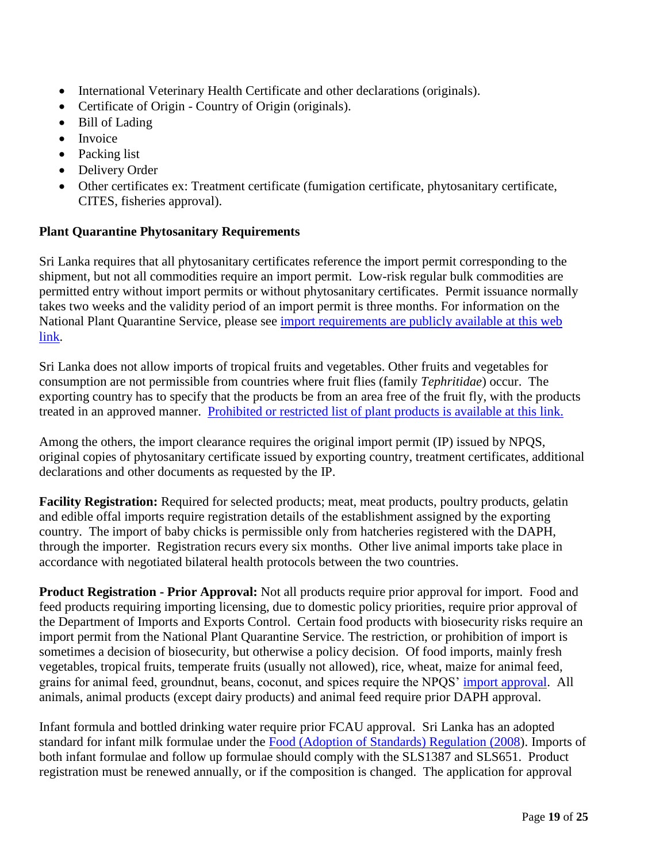- International Veterinary Health Certificate and other declarations (originals).
- Certificate of Origin Country of Origin (originals).
- Bill of Lading
- Invoice
- Packing list
- Delivery Order
- Other certificates ex: Treatment certificate (fumigation certificate, phytosanitary certificate, CITES, fisheries approval).

### **Plant Quarantine Phytosanitary Requirements**

Sri Lanka requires that all phytosanitary certificates reference the import permit corresponding to the shipment, but not all commodities require an import permit. Low-risk regular bulk commodities are permitted entry without import permits or without phytosanitary certificates. Permit issuance normally takes two weeks and the validity period of an import permit is three months. For information on the National Plant Quarantine Service, please see [import requirements are publicly available at this web](https://www.doa.gov.lk/SCPPC/NPQS/index.php/main-services/import)  [link.](https://www.doa.gov.lk/SCPPC/NPQS/index.php/main-services/import)

Sri Lanka does not allow imports of tropical fruits and vegetables. Other fruits and vegetables for consumption are not permissible from countries where fruit flies (family *Tephritidae*) occur. The exporting country has to specify that the products be from an area free of the fruit fly, with the products treated in an approved manner. [Prohibited or restricted list of plant products is available at this link.](https://www.doa.gov.lk/SCPPC/NPQS/index.php/main-services/import/10-services/import/122-prohibited-restricted-plant-or-plant-products-for-importation-to-sri-lanka-4)

Among the others, the import clearance requires the original import permit (IP) issued by NPQS, original copies of phytosanitary certificate issued by exporting country, treatment certificates, additional declarations and other documents as requested by the IP.

**Facility Registration:** Required for selected products; meat, meat products, poultry products, gelatin and edible offal imports require registration details of the establishment assigned by the exporting country. The import of baby chicks is permissible only from hatcheries registered with the DAPH, through the importer. Registration recurs every six months. Other live animal imports take place in accordance with negotiated bilateral health protocols between the two countries.

**Product Registration - Prior Approval:** Not all products require prior approval for import. Food and feed products requiring importing licensing, due to domestic policy priorities, require prior approval of the Department of Imports and Exports Control. Certain food products with biosecurity risks require an import permit from the National Plant Quarantine Service. The restriction, or prohibition of import is sometimes a decision of biosecurity, but otherwise a policy decision. Of food imports, mainly fresh vegetables, tropical fruits, temperate fruits (usually not allowed), rice, wheat, maize for animal feed, grains for animal feed, groundnut, beans, coconut, and spices require the NPQS' [import approval.](https://www.doa.gov.lk/SCPPC/NPQS/index.php/main-services/import/10-services/import/8-no-objection-requirements-for-importing-plant-plant-materials) All animals, animal products (except dairy products) and animal feed require prior DAPH approval.

Infant formula and bottled drinking water require prior FCAU approval. Sri Lanka has an adopted standard for infant milk formulae under the [Food \(Adoption of Standards\) Regulation \(2008\)](http://eohfs.health.gov.lk/food/images/pdf/regulations/food_adoption_of_standards_regulation_2008_en.pdf). Imports of both infant formulae and follow up formulae should comply with the SLS1387 and SLS651. Product registration must be renewed annually, or if the composition is changed. The application for approval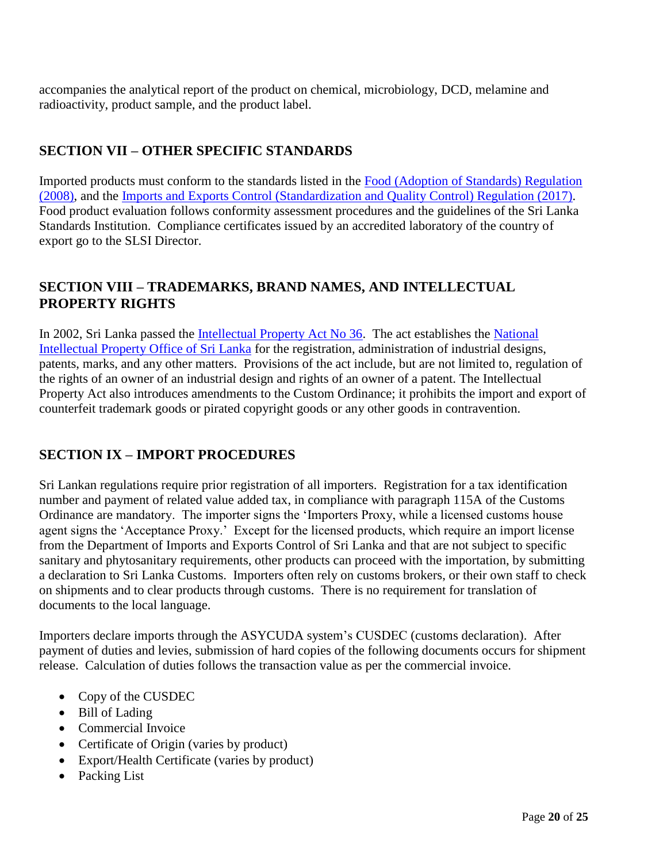accompanies the analytical report of the product on chemical, microbiology, DCD, melamine and radioactivity, product sample, and the product label.

## <span id="page-19-0"></span>**SECTION VII – OTHER SPECIFIC STANDARDS**

Imported products must conform to the standards listed in the [Food \(Adoption of Standards\) Regulation](http://eohfs.health.gov.lk/food/images/pdf/regulations/food_adoption_of_standards_regulation_2008_en.pdf)  [\(2008\)](http://eohfs.health.gov.lk/food/images/pdf/regulations/food_adoption_of_standards_regulation_2008_en.pdf), and the [Imports and Exports Control \(Standardization and Quality Control\) Regulation \(2017\)](https://www.slsi.lk/images/downloads/import_inspection_1/2018.03.29-Gazette--Importexport2064-34_E---Copy.pdf). Food product evaluation follows conformity assessment procedures and the guidelines of the Sri Lanka Standards Institution. Compliance certificates issued by an accredited laboratory of the country of export go to the SLSI Director.

### <span id="page-19-1"></span>**SECTION VIII – TRADEMARKS, BRAND NAMES, AND INTELLECTUAL PROPERTY RIGHTS**

In 2002, Sri Lanka passed the <u>Intellectual Property Act No 36</u>. The act establishes the National [Intellectual Property Office of Sri Lanka](https://www.nipo.gov.lk/web/index.php?lang=en) for the registration, administration of industrial designs, patents, marks, and any other matters. Provisions of the act include, but are not limited to, regulation of the rights of an owner of an industrial design and rights of an owner of a patent. The Intellectual Property Act also introduces amendments to the Custom Ordinance; it prohibits the import and export of counterfeit trademark goods or pirated copyright goods or any other goods in contravention.

## <span id="page-19-2"></span>**SECTION IX – IMPORT PROCEDURES**

Sri Lankan regulations require prior registration of all importers. Registration for a tax identification number and payment of related value added tax, in compliance with paragraph 115A of the Customs Ordinance are mandatory. The importer signs the 'Importers Proxy, while a licensed customs house agent signs the 'Acceptance Proxy.' Except for the licensed products, which require an import license from the Department of Imports and Exports Control of Sri Lanka and that are not subject to specific sanitary and phytosanitary requirements, other products can proceed with the importation, by submitting a declaration to Sri Lanka Customs. Importers often rely on customs brokers, or their own staff to check on shipments and to clear products through customs. There is no requirement for translation of documents to the local language.

Importers declare imports through the ASYCUDA system's CUSDEC (customs declaration). After payment of duties and levies, submission of hard copies of the following documents occurs for shipment release. Calculation of duties follows the transaction value as per the commercial invoice.

- Copy of the CUSDEC
- Bill of Lading
- Commercial Invoice
- Certificate of Origin (varies by product)
- Export/Health Certificate (varies by product)
- Packing List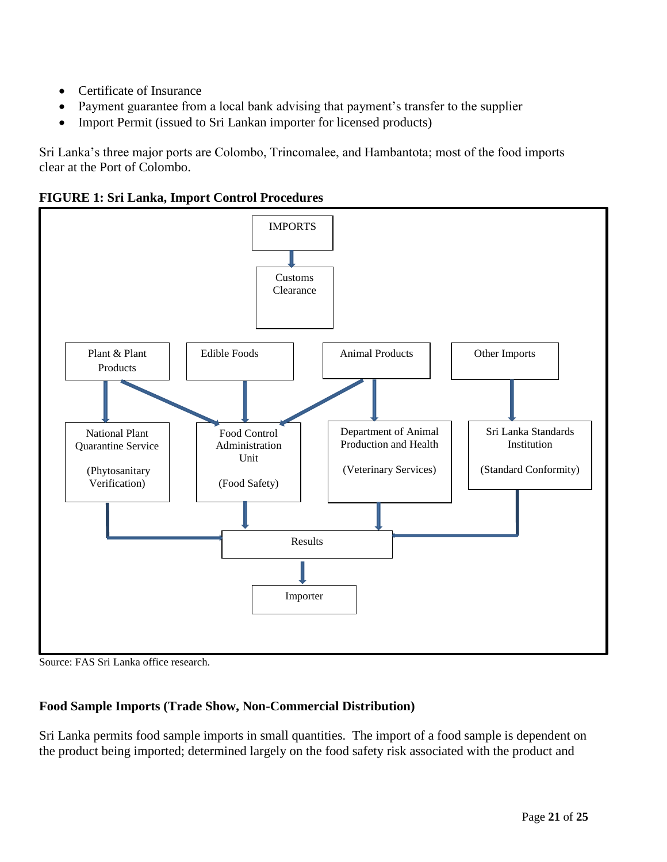- Certificate of Insurance
- Payment guarantee from a local bank advising that payment's transfer to the supplier
- Import Permit (issued to Sri Lankan importer for licensed products)

Sri Lanka's three major ports are Colombo, Trincomalee, and Hambantota; most of the food imports clear at the Port of Colombo.

**FIGURE 1: Sri Lanka, Import Control Procedures** 



Source: FAS Sri Lanka office research.

## **Food Sample Imports (Trade Show, Non-Commercial Distribution)**

Sri Lanka permits food sample imports in small quantities. The import of a food sample is dependent on the product being imported; determined largely on the food safety risk associated with the product and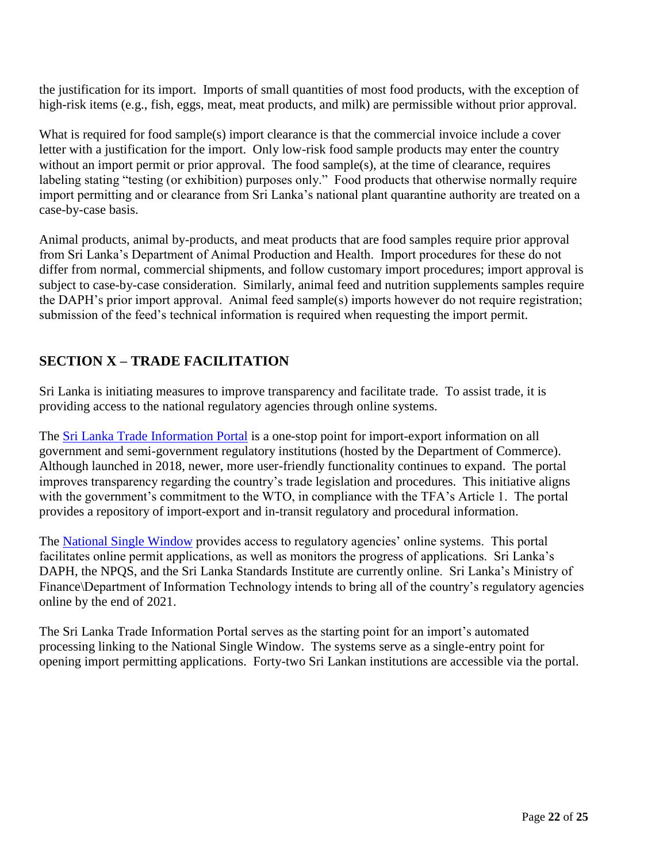the justification for its import. Imports of small quantities of most food products, with the exception of high-risk items (e.g., fish, eggs, meat, meat products, and milk) are permissible without prior approval.

What is required for food sample(s) import clearance is that the commercial invoice include a cover letter with a justification for the import. Only low-risk food sample products may enter the country without an import permit or prior approval. The food sample(s), at the time of clearance, requires labeling stating "testing (or exhibition) purposes only." Food products that otherwise normally require import permitting and or clearance from Sri Lanka's national plant quarantine authority are treated on a case-by-case basis.

Animal products, animal by-products, and meat products that are food samples require prior approval from Sri Lanka's Department of Animal Production and Health. Import procedures for these do not differ from normal, commercial shipments, and follow customary import procedures; import approval is subject to case-by-case consideration. Similarly, animal feed and nutrition supplements samples require the DAPH's prior import approval. Animal feed sample(s) imports however do not require registration; submission of the feed's technical information is required when requesting the import permit.

## **SECTION X – TRADE FACILITATION**

Sri Lanka is initiating measures to improve transparency and facilitate trade. To assist trade, it is providing access to the national regulatory agencies through online systems.

The **Sri Lanka Trade Information Portal** is a one-stop point for import-export information on all government and semi-government regulatory institutions (hosted by the Department of Commerce). Although launched in 2018, newer, more user-friendly functionality continues to expand. The portal improves transparency regarding the country's trade legislation and procedures. This initiative aligns with the government's commitment to the WTO, in compliance with the TFA's Article 1. The portal provides a repository of import-export and in-transit regulatory and procedural information.

The [National Single Window](https://nationalsinglewindow.gov.lk/#about) provides access to regulatory agencies' online systems. This portal facilitates online permit applications, as well as monitors the progress of applications. Sri Lanka's DAPH, the NPQS, and the Sri Lanka Standards Institute are currently online. Sri Lanka's Ministry of Finance\Department of Information Technology intends to bring all of the country's regulatory agencies online by the end of 2021.

The Sri Lanka Trade Information Portal serves as the starting point for an import's automated processing linking to the National Single Window. The systems serve as a single-entry point for opening import permitting applications. Forty-two Sri Lankan institutions are accessible via the portal.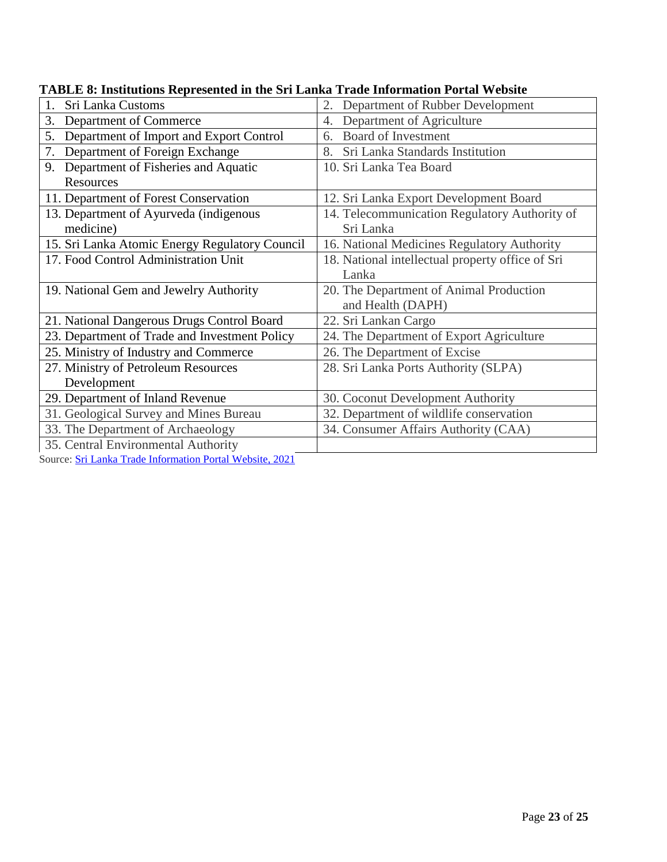| Sri Lanka Customs<br>1.                        | 2.<br>Department of Rubber Development           |
|------------------------------------------------|--------------------------------------------------|
| Department of Commerce<br>3.                   | Department of Agriculture<br>4.                  |
| Department of Import and Export Control<br>5.  | <b>Board of Investment</b><br>6.                 |
| Department of Foreign Exchange<br>7.           | Sri Lanka Standards Institution<br>8.            |
| Department of Fisheries and Aquatic<br>9.      | 10. Sri Lanka Tea Board                          |
| Resources                                      |                                                  |
| 11. Department of Forest Conservation          | 12. Sri Lanka Export Development Board           |
| 13. Department of Ayurveda (indigenous         | 14. Telecommunication Regulatory Authority of    |
| medicine)                                      | Sri Lanka                                        |
| 15. Sri Lanka Atomic Energy Regulatory Council | 16. National Medicines Regulatory Authority      |
| 17. Food Control Administration Unit           | 18. National intellectual property office of Sri |
|                                                | Lanka                                            |
| 19. National Gem and Jewelry Authority         | 20. The Department of Animal Production          |
|                                                | and Health (DAPH)                                |
| 21. National Dangerous Drugs Control Board     | 22. Sri Lankan Cargo                             |
| 23. Department of Trade and Investment Policy  | 24. The Department of Export Agriculture         |
| 25. Ministry of Industry and Commerce          | 26. The Department of Excise                     |
| 27. Ministry of Petroleum Resources            | 28. Sri Lanka Ports Authority (SLPA)             |
| Development                                    |                                                  |
| 29. Department of Inland Revenue               | 30. Coconut Development Authority                |
| 31. Geological Survey and Mines Bureau         | 32. Department of wildlife conservation          |
| 33. The Department of Archaeology              | 34. Consumer Affairs Authority (CAA)             |
| 35. Central Environmental Authority            |                                                  |

**TABLE 8: Institutions Represented in the Sri Lanka Trade Information Portal Website**

Source: Sri Lanka Trade [Information](https://srilankatradeportal.gov.lk/index.php?r=site/display&id=12) Portal Website, 2021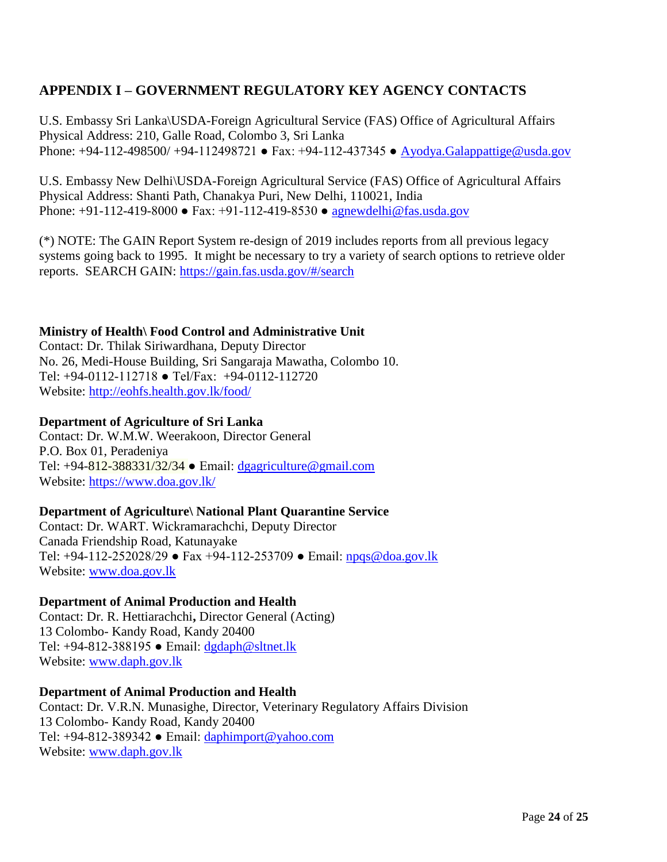## <span id="page-23-0"></span>**APPENDIX I – GOVERNMENT REGULATORY KEY AGENCY CONTACTS**

U.S. Embassy Sri Lanka\USDA-Foreign Agricultural Service (FAS) Office of Agricultural Affairs Physical Address: 210, Galle Road, Colombo 3, Sri Lanka Phone: +94-112-498500/ +94-112498721 • Fax: +94-112-437345 • [Ayodya.Galappattige@usda.gov](mailto:Ayodya.Galappattige@usda.gov)

U.S. Embassy New Delhi\USDA-Foreign Agricultural Service (FAS) Office of Agricultural Affairs Physical Address: Shanti Path, Chanakya Puri, New Delhi, 110021, India Phone:  $+91-112-419-8000 \bullet \text{ Fax}: +91-112-419-8530 \bullet \text{agnewdelli@fas.usda.gov}$ 

(\*) NOTE: The GAIN Report System re-design of 2019 includes reports from all previous legacy systems going back to 1995. It might be necessary to try a variety of search options to retrieve older reports. SEARCH GAIN:<https://gain.fas.usda.gov/#/search>

### **Ministry of Health\ Food Control and Administrative Unit**

Contact: Dr. Thilak Siriwardhana, Deputy Director No. 26, Medi-House Building, Sri Sangaraja Mawatha, Colombo 10. Tel: +94-0112-112718 ● Tel/Fax: +94-0112-112720 Website:<http://eohfs.health.gov.lk/food/>

#### **Department of Agriculture of Sri Lanka**

Contact: Dr. W.M.W. Weerakoon, Director General P.O. Box 01, Peradeniya Tel: +94-812-388331/32/34 ● Email: [dgagriculture@gmail.com](mailto:dgagriculture@gmail.com) Website:<https://www.doa.gov.lk/>

#### **Department of Agriculture\ National Plant Quarantine Service**

Contact: Dr. WART. Wickramarachchi, Deputy Director Canada Friendship Road, Katunayake Tel: +94-112-252028/29 ● Fax +94-112-253709 ● Email: [npqs@doa.gov.lk](mailto:npqs@doa.gov.lk) Website: [www.doa.gov.lk](http://www.doa.gov.lk/)

#### **Department of Animal Production and Health**

Contact: Dr. R. Hettiarachchi**,** Director General (Acting) 13 Colombo- Kandy Road, Kandy 20400 Tel: +94-812-388195 ● Email: [dgdaph@sltnet.lk](mailto:dgdaph@sltnet.lk) Website: [www.daph.gov.lk](http://www.daph.gov.lk/)

#### **Department of Animal Production and Health**

Contact: Dr. V.R.N. Munasighe, Director, Veterinary Regulatory Affairs Division 13 Colombo- Kandy Road, Kandy 20400 Tel: +94-812-389342 ● Email: [daphimport@yahoo.com](mailto:daphimport@yahoo.com) Website: [www.daph.gov.lk](http://www.daph.gov.lk/)